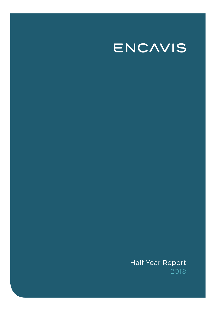# ENCAVIS

# Half-Year Report 2018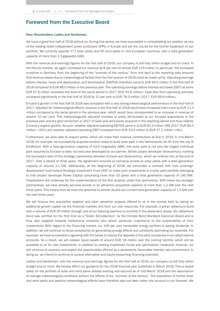# Foreword from the Executive Board

### Dear Shareholders, Ladies and Gentlemen,

We have a good first half of 2018 behind us. During this period, we have succeeded in consolidating our position as one of the leading listed independent power producers (IPPs) in Europe and set the course for the further expansion of our portfolio. We currently operate 171 solar parks and 65 wind parks in nine European countries, with a total generation capacity of more than 1.5 gigawatts (GW).

With the revenue and earnings figures for the first half of 2018, our company is still fully within budget and on track. In the first six months, we again increased our revenue by 8 per cent to almost EUR 123 million. In particular, the increased sunshine in Germany from the beginning of the "summer of the century" from mid April to the reporting date ensured that revenue losses due to meteorological factors from the first quarter of 2018 could be made up for. Operating earnings before interest, taxes and depreciation and amortisation (EBITDA) therefore came to EUR 94.0 million in the first half of 2018 compared to EUR 88.0 million in the previous year. The operating earnings before interest and taxes (EBIT) at some EUR 57.8 million exceeded the level of the same period in 2017 (EUR 55.9 million). Cash flow from operating activities increased significantly in the first half of 2018 by 12 per cent to EUR 78.3 million (2017: EUR 69.9 million).

Encavis's growth in the first half of 2018 was compared with a very strong meteorological performance in the first half of 2017. Adjusted for meteorological effects, revenue in the first half of 2018 would have increased even more by EUR 11.3 million compared to the same period in the previous year, which would have corresponded to an increase in revenue of around 10 per cent. This meteorologically adjusted increase is solely attributable to our focused acquisitions in the previous year and the grid connection in 2017 of solar and wind parks acquired in the reporting period and thus reflects Encavis's organic growth. As such, weather adjusted operating EBITDA came in at EUR 93.3 million (6M 2017: EUR 85.0 million; +10%) and weather adjusted operating EBIT increased from EUR 52.9 million to EUR 57.1 million (+8%).

Furthermore, we were able to acquire parks, which will make their revenue contributions at first in 2019. In mid March 2018, for example, we successfully acquired another ready-to-build solar park in the Netherlands not far from the city of Eindhoven. With a total generation capacity of 43.9 megawatts (MW), this solar park is not only the largest individual park acquired by Encavis to date, but was also developed by our partner, British project developer Solarcentury, marking the successful start of the strategic partnership between Encavis and Solarcentury, which we entered into at the end of 2017. Over a period of three years, the agreement ensures us exclusive access to solar parks with a total generation capacity of around 1.1 GW. Additionally, at the beginning of 2018, we concluded a contract with Irish sovereign development fund Ireland Strategic Investment Fund (ISIF) to make joint investments in a solar park portfolio belonging to Irish project developer Power Capital comprising more than 20 parks with a total generation capacity of 140 MW. Preparations are underway for the implementation of the first projects under this partnership. With these two strategic partnerships, we have already secured access to an attractive acquisition pipeline of more than 1.2 GW over the next three years. This means that we have the potential to almost double our current total generation capacity of 1.5 GW over the next three years.

We will finance this acquisition pipeline and other attractive projects offered to us in the market both by taking on additional growth capital via the financial markets and from our own resources. For example, a green debenture bond with a volume of EUR 50 million through one of our banking partners is currently in the placement phase. Our debenture bond was certified for the first time as a "Green Schuldschein" by the Climate Bond Standard Executive Board and is thus also targeted towards institutional investors who attach particular importance to the sustainability of their investments. With regard to the financing market, our 100 per cent renewable energy portfolio is paying dividends. In addition, we will continue to focus consistently on generating synergy effects and constantly optimising our business. For example, we have succeeded in agreeing with the banks to reduce the deposits of the park companies in so-called reserve accounts. As a result, we will release liquid assets of around EUR 18 million over the coming months, which will be available to us for new investments. In addition to existing investment funds and optimisation measures, however, we will continue to examine and exploit the opportunities offered by a persistently favourable interest rate environment. In doing so, we intend to continue to pursue alternative and equity-preserving financing channels.

Ladies and Gentlemen, with the revenue and earnings figures for the first half of 2018, our company is still fully within budget and on track. We hereby affirm our guidance for the 2018 financial year published in March 2018. This is based solely on the portfolio of solar and wind parks already existing and secured as of mid March 2018 and the assumption of average meteorological conditions without the effects of the "summer of the century". The acquisition of further solar and wind parks and positive meteorological effects have therefore also not been taken into account in our forecast. We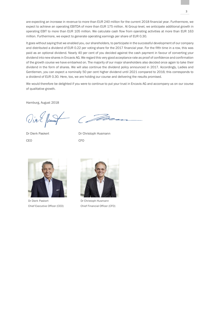are expecting an increase in revenue to more than EUR 240 million for the current 2018 financial year. Furthermore, we expect to achieve an operating EBITDA of more than EUR 175 million. At Group level, we anticipate additional growth in operating EBIT to more than EUR 105 million. We calculate cash flow from operating activities at more than EUR 163 million. Furthermore, we expect to generate operating earnings per share of EUR 0.30.

It goes without saying that we enabled you, our shareholders, to participate in the successful development of our company and distributed a dividend of EUR 0.22 per voting share for the 2017 financial year. For the fifth time in a row, this was paid as an optional dividend. Nearly 40 per cent of you decided against the cash payment in favour of converting your dividend into new shares in Encavis AG. We regard this very good acceptance rate as proof of confidence and confirmation of the growth course we have embarked on. The majority of our major shareholders also decided once again to take their dividend in the form of shares. We will also continue the dividend policy announced in 2017. Accordingly, Ladies and Gentlemen, you can expect a nominally 50 per cent higher dividend until 2021 compared to 2016; this corresponds to a dividend of EUR 0.30. Here, too, we are holding our course and delivering the results promised.

We would therefore be delighted if you were to continue to put your trust in Encavis AG and accompany us on our course of qualitative growth.

Hamburg, August 2018

Vier flump

CEO CFO

 $\sqrt{d}$ 

Dr Dierk Paskert Dr Christoph Husmann



Dr Dierk Paskert Chief Executive Officer (CEO)



Dr Christoph Husmann Chief Financial Officer (CFO)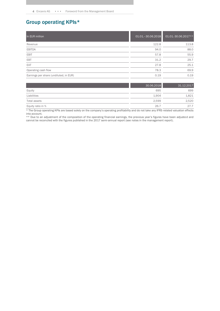# Group operating KPIs\*

| In EUR million                         | 01.01. - 30.06.2018 | 01.01.-30.06.2017** |
|----------------------------------------|---------------------|---------------------|
| Revenue                                | 122.8               | 113.8               |
| <b>EBITDA</b>                          | 94.0                | 88.0                |
| <b>EBIT</b>                            | 57.8                | 55.9                |
| EBT                                    | 31.2                | 29.7                |
| EAT                                    | 27.8                | 25.1                |
| Operating cash flow                    | 78.3                | 69.9                |
| Earnings per share (undiluted, in EUR) | 0.19                | 0.19                |

|                    | 30.06.2018 | 31.12.2017 |
|--------------------|------------|------------|
| Equity             | 695        | 699        |
| Liabilities        | 1.904      | 1,821      |
| Total assets       | 2.599      | 2,520      |
| Equity ratio in %  | 26.7       | 27.7       |
| .<br>$\sim$ $\sim$ | .          |            |

\* The Group operating KPIs are based solely on the company's operating profitability and do not take any IFRS-related valuation effects into account.

\*\* Due to an adjustment of the composition of the operating financial earnings, the previous year's figures have been adjusted and cannot be reconciled with the figures published in the 2017 semi-annual report (see notes in the management report).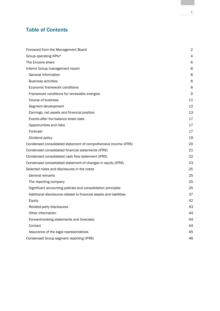# Table of Contents

| Foreword from the Management Board                                 | 2  |
|--------------------------------------------------------------------|----|
| Group operating KPIs*                                              | 4  |
| The Encavis share                                                  | 6  |
| Interim Group management report                                    | 8  |
| General information                                                | 8  |
| <b>Business activities</b>                                         | 8  |
| Economic framework conditions                                      | 8  |
| Framework conditions for renewable energies                        | 9  |
| Course of business                                                 | 11 |
| Segment development                                                | 12 |
| Earnings, net assets and financial position                        | 13 |
| Events after the balance sheet date                                | 17 |
| Opportunities and risks                                            | 17 |
| Forecast                                                           | 17 |
| Dividend policy                                                    | 19 |
| Condensed consolidated statement of comprehensive income (IFRS)    | 20 |
| Condensed consolidated financial statements (IFRS)                 | 21 |
| Condensed consolidated cash flow statement (IFRS)                  | 22 |
| Condensed consolidated statement of changes in equity (IFRS)       | 23 |
| Selected notes and disclosures in the notes                        | 25 |
| General remarks                                                    | 25 |
| The reporting company                                              | 25 |
| Significant accounting policies and consolidation principles       | 25 |
| Additional disclosures related to financial assets and liabilities | 37 |
| Equity                                                             | 42 |
| Related-party disclosures                                          | 43 |
| Other information                                                  | 44 |
| Forward-looking statements and forecasts                           | 44 |
| Contact                                                            | 44 |
| Assurance of the legal representatives                             | 45 |
| Condensed Group segment reporting (IFRS)                           | 46 |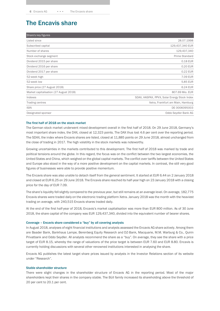# The Encavis share

| Share's key figures                    |                                              |
|----------------------------------------|----------------------------------------------|
| Listed since                           | 28.07.1998                                   |
| Subscribed capital                     | 129,437,340 EUR                              |
| Number of shares                       | 129,437,340                                  |
| Stock exchange segment                 | Prime Standard                               |
| Dividend 2015 per share                | 0.18 EUR                                     |
| Dividend 2016 per share                | 0.20 EUR                                     |
| Dividend 2017 per share                | 0.22 EUR                                     |
| 52-week high                           | 7.09 EUR                                     |
| 52-week low                            | 5.85 EUR                                     |
| Share price (27 August 2018)           | 6.24 EUR                                     |
| Market capitalisation (27 August 2018) | 807.69 Mio. EUR                              |
| Indexes                                | SDAX, HASPAX, PPVX, Solar Energy Stock Index |
| Trading centres                        | Xetra, Frankfurt am Main, Hamburg            |
| <b>ISIN</b>                            | DE 0006095003                                |
| Designated sponsor                     | Oddo Seydler Bank AG                         |

### The first half of 2018 on the stock market

The German stock market underwent mixed development overall in the first half of 2018. On 29 June 2018, Germany's most important share index, the DAX, closed at 12,323 points. The DAX thus lost 4.6 per cent over the reporting period. The SDAX, the index where Encavis shares are listed, closed at 11,885 points on 29 June 2018, almost unchanged from the close of trading in 2017. The high volatility in the stock markets was noteworthy.

Growing uncertainties in the markets contributed to this development. The first half of 2018 was marked by trade and political tensions around the globe. In this regard, the focus was on the conflict between the two largest economies, the United States and China, which weighed on the global capital markets. The conflict over tariffs between the United States and Europe also stood in the way of a more positive development on the capital markets. In contrast, the still very good figures of businesses were able to provide positive momentum.

The Encavis share was also unable to detach itself from the general sentiment. It started at EUR 6.44 on 2 January 2018 and closed at EUR 6.25 on 29 June 2018. The Encavis share reached its half-year high on 23 January 2018 with a closing price for the day of EUR 7.09.

The share's liquidity fell slightly compared to the previous year, but still remains at an average level. On average, 182,775 Encavis shares were traded daily on the electronic trading platform Xetra. January 2018 was the month with the heaviest trading on average, with 240,515 Encavis shares traded daily.

At the end of the first half-year of 2018, Encavis's market capitalisation was more than EUR 800 million. As of 30 June 2018, the share capital of the company was EUR 129,437,340, divided into the equivalent number of bearer shares.

### Coverage – Encavis share considered a "buy" by all covering analysts

In August 2018, analyses of eight financial institutions and analysts assessed the Encavis AG share actively. Among them are Baader Bank, Bankhaus Lampe, Berenberg Equity Research and DZ-Bank, Macquarie, M.M. Warburg & Co., Quirin Privatbank and Oddo Seydler. All analysts recommend the share as a "buy". On average, they see the share with a price target of EUR 8.15, whereby the range of valuations of the price target is between EUR 7.60 and EUR 8.80. Encavis is currently holding discussions with several other renowned institutions interested in analysing the share.

Encavis AG publishes the latest target share prices issued by analysts in the Investor Relations section of its website under "Research".

### Stable shareholder structure

There were slight changes in the shareholder structure of Encavis AG in the reporting period. Most of the major shareholders kept their shares in the company stable. The Büll family increased its shareholding above the threshold of 20 per cent to 20.1 per cent.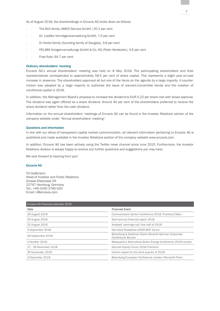As of August 2018, the shareholdings in Encavis AG broke down as follows:

- The Büll family (AMCO Service GmbH) 20.1 per cent
- Dr. Liedtke Vermögensverwaltung GmbH, 7.0 per cent
- Dr Kreke family (founding family of Douglas), 3.6 per cent
- PELABA Anlagenverwaltungs GmbH & Co. KG (Peter Heidecker), 4.6 per cent
- Free float, 64.7 per cent

### Ordinary shareholders' meeting

Encavis AG's annual shareholders' meeting was held on 8 May 2018. The participating shareholders and their representatives corresponded to approximately 56.5 per cent of share capital. This represents a slight year-on-year increase in presence. The shareholders approved all but one of the items on the agenda by a large majority. A countermotion was adopted by a large majority to authorise the issue of warrant/convertible bonds and the creation of conditional capital in 2018.

In addition, the Management Board's proposal to increase the dividend to EUR 0.22 per share met with broad approval. The dividend was again offered as a share dividend. Around 40 per cent of the shareholders preferred to receive the share dividend rather than the cash dividend.

Information on the annual shareholders' meetings of Encavis AG can be found in the Investor Relations section of the company website under "Annual shareholders' meeting".

### Questions and information

In line with our ethos of transparent capital market communication, all relevant information pertaining to Encavis AG is published and made available in the Investor Relations section of the company website www.encavis.com.

In addition, Encavis AG has been actively using the Twitter news channel since June 2015. Furthermore, the Investor Relations division is always happy to receive any further questions and suggestions you may have.

We look forward to hearing from you!

### Encavis AG

Till Gießmann Head of Investor and Public Relations Grosse Elbstrasse 59 22767 Hamburg, Germany Tel.: +49 (0)40 3785 620 Email: ir@encavis.com

| <b>Financial Event</b>                                                  |
|-------------------------------------------------------------------------|
| Commerzbank Sector Conference 2018, Frankfurt/Main                      |
| Semi-annual financial report 2018                                       |
| Analysts' earnings call, first half of 2018                             |
| Non-Deal Roadshow ODDO BHF Zurich                                       |
| Berenberg & Goldman Sachs Seventh German Corporate<br>Conference Munich |
| Macquarie's Alternative/Green Energy Conference 2018 London             |
| German Equity Forum 2018 Frankfurt                                      |
| Interim report for the third quarter of 2018                            |
| Berenberg European Conference London (Pennyhill Park)                   |
|                                                                         |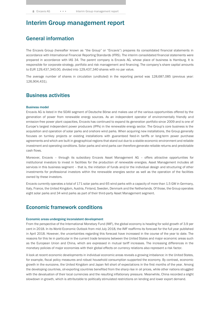# Interim Group management report

# General information

The Encavis Group (hereafter known as "the Group" or "Encavis") prepares its consolidated financial statements in accordance with International Financial Reporting Standards (IFRS). The interim consolidated financial statements were prepared in accordance with IAS 34. The parent company is Encavis AG, whose place of business is Hamburg. It is responsible for corporate strategy, portfolio and risk management and financing. The company's share capital amounts to EUR 129,437,340.00, divided into 129,437,340 shares with no par value.

The average number of shares in circulation (undiluted) in the reporting period was 128,687,085 (previous year: 126,904,431).

# Business activities

### Business model

Encavis AG is listed in the SDAX segment of Deutsche Börse and makes use of the various opportunities offered by the generation of power from renewable energy sources. As an independent operator of environmentally friendly and emission-free power plant capacities, Encavis has continued to expand its generation portfolio since 2009 and is one of Europe's largest independent power producers (IPPs) in the renewable energy sector. The Group's core business is the acquisition and operation of solar parks and onshore wind parks. When acquiring new installations, the Group generally focuses on turnkey projects or existing installations with guaranteed feed-in tariffs or long-term power purchase agreements and which are built in geographical regions that stand out due to a stable economic environment and reliable investment and operating conditions. Solar parks and wind parks can therefore generate reliable returns and predictable cash flows.

Moreover, Encavis – through its subsidiary Encavis Asset Management AG – offers attractive opportunities for institutional investors to invest in facilities for the production of renewable energies. Asset Management includes all services in this business segment – that is, the initiation of funds and/or the individual design and structuring of other investments for professional investors within the renewable energies sector as well as the operation of the facilities owned by these investors.

Encavis currently operates a total of 171 solar parks and 65 wind parks with a capacity of more than 1.5 GW in Germany, Italy, France, the United Kingdom, Austria, Finland, Sweden, Denmark and the Netherlands. Of those, the Group operates eight solar parks and 34 wind parks as part of their third-party Asset Management segment.

### Economic framework conditions

#### Economic areas undergoing inconsistent development

From the perspective of the International Monetary Fund (IMF), the global economy is heading for solid growth of 3.9 per cent in 2018. In its World Economic Outlook from mid July 2018, the IMF reaffirms its forecast for the full year published in April 2018. However, the uncertainties regarding this forecast have increased in the course of the year to date. The reasons for this lie in particular in the current trade tensions between the United States and major economic areas such as the European Union and China, which are expressed in mutual tariff increases. The increasing differences in the monetary policies of major economies with their global effects on currency relations also represent a risk factor.

A look at recent economic developments in individual economic areas reveals a growing imbalance: in the United States, for example, fiscal policy measures and robust household consumption supported the economy. By contrast, economic growth in the eurozone, the United Kingdom and Japan fell short of expectations in the first months of the year. Among the developing countries, oil-exporting countries benefited from the sharp rise in oil prices, while other nations struggled with the devaluation of their local currencies and the resulting inflationary pressure. Meanwhile, China recorded a slight slowdown in growth, which is attributable to politically stimulated restrictions on lending and lower export demand.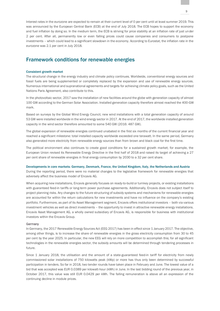Interest rates in the eurozone are expected to remain at their current level of 0 per cent until at least summer 2019. This was announced by the European Central Bank (ECB) at the end of July 2018. The ECB hopes to support the economy and fuel inflation by doing so. In the medium term, the ECB is striving for price stability at an inflation rate of just under 2 per cent. After all, permanently low or even falling prices could cause companies and consumers to postpone investments – which could lead to a significant slowdown in the economy. According to Eurostat, the inflation rate in the eurozone was 2.1 per cent in July 2018.

# Framework conditions for renewable energies

### Consistent growth market

The structural change in the energy industry and climate policy continues. Worldwide, conventional energy sources and fossil fuels are being supplemented or completely replaced by the expansion and use of renewable energy sources. Numerous international and supranational agreements and targets for achieving climate policy goals, such as the United Nations Paris Agreement, also contribute to this.

In the photovoltaic sector, 2017 saw the installation of new facilities around the globe with generation capacity of almost 100 GW according to the German Solar Association. Installed generation capacity therefore almost reached the 400-GW mark.

Based on surveys by the Global Wind Energy Council, new wind installations with a total generation capacity of around 53 GW were installed worldwide in the wind energy sector in 2017. At the end of 2017, the worldwide installed generation capacity in the wind sector therefore amounted to some 540 GW (2016: 487 GW).

The global expansion of renewable energies continued unabated in the first six months of the current financial year and reached a significant milestone: total installed capacity worldwide exceeded one terawatt. In the same period, Germany also generated more electricity from renewable energy sources than from brown and black coal for the first time.

The political environment also continues to create good conditions for a sustained growth market; for example, the European Union revised its Renewable Energy Directive in the first half of 2018 and raised its target of achieving a 27 per cent share of renewable energies in final energy consumption by 2030 to a 32 per cent share.

### Developments in core markets: Germany, Denmark, France, the United Kingdom, Italy, the Netherlands and Austria

During the reporting period, there were no material changes to the legislative framework for renewable energies that adversely affect the business model of Encavis AG.

When acquiring new installations, Encavis generally focuses on ready-to-build or turnkey projects, or existing installations with guaranteed feed-in tariffs or long-term power purchase agreements. Additionally, Encavis does not subject itself to project planning risks. Any changes to the future structuring of subsidy systems and mechanisms for renewable energies are accounted for within the return calculations for new investments and have no influence on the company's existing portfolio. Furthermore, as part of its Asset Management segment, Encavis offers institutional investors – both via various investment vehicles as well as direct investments – the opportunity to invest in attractive renewable energy installations. Encavis Asset Management AG, a wholly owned subsidiary of Encavis AG, is responsible for business with institutional investors within the Encavis Group.

### **Germany**

In Germany, the 2017 Renewable Energy Sources Act (EEG 2017) has been in effect since 1 January 2017. The objective, among other things, is to increase the share of renewable energies in the gross electricity consumption from 30 to 45 per cent by the year 2025. In particular, the new EEG will rely on more competition to accomplish this; for all significant technologies in the renewable energies sector, the subsidy amounts will be determined through tendering processes in future.

Since 1 January 2018, the utilisation and the amount of a state-guaranteed feed-in tariff for electricity from newly commissioned solar installations of 750 kilowatts peak (kWp) or more has thus only been determined by successful participation in tenders. So far in 2018, two tender rounds have taken place in February and June. The lowest value of a bid that was accepted was EUR 0.0389 per kilowatt-hour (kWh) in June. In the last bidding round of the previous year, in October 2017, this value was still EUR 0.0429 per kWh. The falling remuneration is above all an expression of the continuing decline in module prices.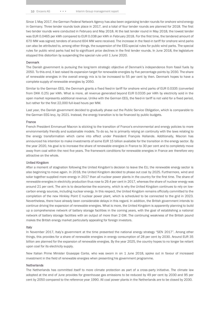Since 1 May 2017, the German Federal Network Agency has also been organising tender rounds for onshore wind energy in Germany. Three tender rounds took place in 2017, and a total of four tender rounds are planned for 2018. The first two tender rounds were conducted in February and May 2018. At the last tender round in May 2018, the lowest tender was EUR 0.0465 per kWh compared to EUR 0.038 per kWh in February 2018. For the first time, the tendered amount of 670 MW was signed; tenders of around 604 MW were received. The increase in the feed-in tariff for onshore wind parks can also be attributed to, among other things, the suspension of the EEG special rules for public wind parks. The special rules for public wind parks had led to significant price declines in the first tender rounds. In June 2018, the legislature stopped this distortion by suspending the special rule until 1 June 2020.

### Denmark

The Danish government is pursuing the long-term strategic objective of Denmark's independence from fossil fuels by 2050. To this end, it last raised its expansion target for renewable energies by five percentage points by 2030. The share of renewable energies in the overall energy mix is to be increased to 55 per cent by then. Denmark hopes to have a complete supply of renewable energies by 2050.

Similar to the German EEG, the Denmark grants a fixed feed-in tariff for onshore wind parks of EUR 0.0335 (converted from DKK 0.25) per kWh. What is more, all revenue generated beyond EUR 0.0335 per kWh by electricity sold in the open market represents additional revenue. Unlike with the German EEG, the feed-in tariff is not valid for a fixed period, but rather for the first 22,000 full-load hours per MW.

Last year, the Danish government decided to gradually phase out the Public Service Obligation, which is comparable to the German EEG levy, by 2021. Instead, the energy transition is to be financed by public budgets.

#### France

French President Emmanuel Macron is sticking to the transition of France's environmental and energy policies to more environmentally friendly and sustainable models. To do so, he is primarily relying on continuity with the laws relating to the energy transformation which came into effect under President François Hollande. Additionally, Macron has announced his intention to make investments of some EUR 15 billion available for the transition in the energy sector. By the year 2020, his goal is to increase the share of renewable energies in France to 30 per cent and to completely move away from coal within the next five years. The framework conditions for renewable energies in France are therefore very attractive on the whole.

#### United Kingdom

After a moment of stagnation following the United Kingdom's decision to leave the EU, the renewable energy sector is also beginning to move again. In 2018, the United Kingdom decided to phase out coal by 2025. Furthermore, wind and solar together supplied more energy in 2017 than all nuclear power plants in the country for the first time. The share of renewable energies in electricity production thus rose to 29.4 per cent in 2017, whereas the share of nuclear energy was around 21 per cent. The aim is to decarbonise the economy, which is why the United Kingdom continues to rely on lowcarbon energy sources, including nuclear energy. In this respect, the United Kingdom remains officially committed to the completion of the new Hinkley Point C nuclear power plant, which is scheduled to be connected to the grid in 2023. Nevertheless, there have already been considerable delays in this regard. In addition, the British government intends to continue driving the expansion of renewable energies. What is more, the United Kingdom is apparently planning to build up a comprehensive network of battery storage facilities in the coming years, with the goal of establishing a national network of battery storage facilities with an output of more than 2 GW. The continuing weakness of the British pound makes the British energy market particularly appealing for foreign investors.

#### Italy

In November 2017, Italy's government at the time presented the national energy strategy "SEN 2017". Among other things, this provides for a share of renewable energies in energy consumption of 28 per cent by 2030. Around EUR 35 billion are planned for the expansion of renewable energies. By the year 2025, the country hopes to no longer be reliant upon coal for its electricity supply.

New Italian Prime Minister Giuseppe Conte, who was sworn in on 1 June 2018, spoke out in favour of increased investment in the field of renewable energies when presenting his government programme.

### **Netherlands**

The Netherlands has committed itself to more climate protection as part of a cross-party initiative. The climate law adopted at the end of June provides for greenhouse gas emissions to be reduced by 49 per cent by 2030 and 95 per cent by 2050 compared to the reference year 1990. All coal power plants in the Netherlands are to be closed by 2030.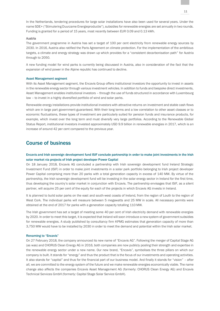In the Netherlands, tendering procedures for large solar installations have also been used for several years. Under the name SDE+ ("Stimulering Duurzame Energieproductie"), subsidies for renewable energies are set annually in two rounds. Funding is granted for a period of 15 years, most recently between EUR 0.09 and 0.13 kWh.

### Austria

The government programme in Austria has set a target of 100 per cent electricity from renewable energy sources by 2030. In 2016, Austria also ratified the Paris Agreement on climate protection. For the implementation of the ambitious targets, a climate and energy strategy was drawn up which provides for a "consistent decarbonisation path" for Austria through to 2050.

A new funding model for wind parks is currently being discussed in Austria, also in consideration of the fact that the expansion of wind power in the Alpine republic has continued to decline.

### Asset Management segment

With its Asset Management segment, the Encavis Group offers institutional investors the opportunity to invest in assets in the renewable energy sector through various investment vehicles. In addition to funds and bespoke direct investments, Asset Management enables institutional investors – through the use of funds structured in accordance with Luxembourg law – to invest in a highly diversified portfolio of wind and solar parks.

Renewable energy installations provide institutional investors with attractive returns on investment and stable cash flows which are in large part government-guaranteed. With their long terms and a low correlation to other asset classes or to economic fluctuations, these types of investment are particularly suited for pension funds and insurance products, for example, which invest over the long term and must diversify very large portfolios. According to the Renewable Global Status Report, institutional investors invested approximately USD 9.9 billion in renewable energies in 2017, which is an increase of around 42 per cent compared to the previous year.

# Course of business

### Encavis and Irish sovereign development fund ISIF conclude partnership in order to make joint investments in the Irish solar market via projects of Irish project developer Power Capital

On 18 January 2018, Encavis AG concluded a partnership with Irish sovereign development fund Ireland Strategic Investment Fund (ISIF) in order to make joint investments in a solar park portfolio belonging to Irish project developer Power Capital comprising more than 20 parks with a total generation capacity in excess of 140 MW. By virtue of the partnership, the Irish sovereign development fund will be investing in the solar energy sector in Ireland for the first time, thus developing the country's solar market in conjunction with Encavis. The partnership envisages that ISIF, as a silent partner, will acquire 25 per cent of the equity for each of the projects in which Encavis AG invests in Ireland.

It is planned to build solar parks on the east and south-west coasts of Ireland, from the region of Louth to the region of West Cork. The individual parks will measure between 5 megawatts and 25 MW in scale. All necessary permits were obtained at the end of 2017 for parks with a generation capacity totalling 110 MW.

The Irish government has set a target of meeting some 40 per cent of Irish electricity demand with renewable energies by 2020. In order to meet this target, it is expected that Ireland will soon introduce a new system of government subsidies for renewable energies. A study published by consultancy firm KPMG estimates that generation capacity of more than 3,750 MW would have to be installed by 2030 in order to meet the demand and potential within the Irish solar market.

### Renaming to "Encavis"

On 27 February 2018, the company announced its new name of "Encavis AG". Following the merger of Capital Stage AG (as was) and CHORUS Clean Energy AG in 2016, both companies are now publicly pooling their strength and expertise in the renewable energy sector under a new name. Our new brand, "Encavis", symbolises the three pillars on which our company is built. It stands for "energy" and thus the product that is the focus of our investments and operating activities. It also stands for "capital" and thus for the financial part of our business model. And finally it stands for "vision" – after all, we are committed to the energy system of the future and we make renewable energies economically viable. The name change also affects the companies Encavis Asset Management AG (formerly: CHORUS Clean Energy AG) and Encavis Technical Services GmbH (formerly: Capital Stage Solar Service GmbH).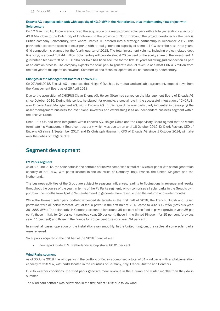### Encavis AG acquires solar park with capacity of 43.9 MW in the Netherlands, thus implementing first project with **Solarcentury**

On 12 March 2018, Encavis announced the acquisition of a ready-to-build solar park with a total generation capacity of 43.9 MW close to the Dutch city of Eindhoven, in the province of North Brabant. The project developer for the park is British company Solarcentury, with whom Encavis AG entered into a strategic partnership in December 2017. This partnership concerns access to solar parks with a total generation capacity of some 1.1 GW over the next three years. Grid connection is planned for the fourth quarter of 2018. The total investment volume, including project-related debt financing, is around EUR 44 million. Solarcentury will provide almost 20 per cent of the equity share of the investment. A guaranteed feed-in tariff of EUR 0.104 per kWh has been secured for the first 15 years following grid connection as part of an auction process. The company expects the solar park to generate annual revenue of almost EUR 4.5 million from the first year of full operation onwards. Commercial and technical operation will be handled by Solarcentury.

### Changes in the Management Board of Encavis AG

On 27 April 2018, Encavis AG announced that Holger Götze had, by mutual and amicable agreement, stepped down from the Management Board as of 26 April 2018.

Due to the acquisition of CHORUS Clean Energy AG, Holger Götze had served on the Management Board of Encavis AG since October 2016. During this period, he played, for example, a crucial role in the successful integration of CHORUS, now Encavis Asset Management AG, within Encavis AG. In this regard, he was particularly influential in developing the asset management business for institutional investors and establishing it as an independent business segment within the Encavis Group.

Once CHORUS had been integrated within Encavis AG, Holger Götze and the Supervisory Board agreed that he would terminate his Management Board contract early, which was due to run until 18 October 2019. Dr Dierk Paskert, CEO of Encavis AG since 1 September 2017, and Dr Christoph Husmann, CFO of Encavis AG since 1 October 2014, will take over the duties of Holger Götze.

### Segment development

### PV Parks segment

As of 30 June 2018, the solar parks in the portfolio of Encavis comprised a total of 163 solar parks with a total generation capacity of 830 MW, with parks located in the countries of Germany, Italy, France, the United Kingdom and the Netherlands.

The business activities of the Group are subject to seasonal influences, leading to fluctuations in revenue and results throughout the course of the year. In terms of the PV Parks segment, which comprises all solar parks in the Group's own portfolio, the months from April to September tend to generate more revenue than the autumn and winter months.

While the German solar park portfolio exceeded its targets in the first half of 2018, the French, British and Italian portfolios were all below forecast. Actual fed-in power in the first half of 2018 came to 432,808 MWh (previous year: 391,885 MWh). The solar parks in Germany accounted for around 35 per cent of the feed-in power (previous year: 36 per cent), those in Italy for 24 per cent (previous year: 29 per cent), those in the United Kingdom for 15 per cent (previous year: 11 per cent) and those in the France for 26 per cent (previous year: 24 per cent).

In almost all cases, operation of the installations ran smoothly. In the United Kingdom, the cables at some solar parks were renewed.

Solar parks acquired in the first half of the 2018 financial year:

• Zonnepark Budel B.V., Netherlands, Group share: 80.01 per cent

#### Wind Parks segment

As of 30 June 2018, the wind parks in the portfolio of Encavis comprised a total of 31 wind parks with a total generation capacity of 318 MW, with parks located in the countries of Germany, Italy, France, Austria and Denmark.

Due to weather conditions, the wind parks generate more revenue in the autumn and winter months than they do in summer.

The wind park portfolio was below plan in the first half of 2018 due to low wind.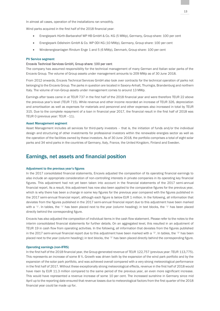In almost all cases, operation of the installations ran smoothly.

Wind parks acquired in the first half of the 2018 financial year:

- Energiepark Hürth-Barbarahof WP HB GmbH & Co. KG (5 MWp), Germany, Group share: 100 per cent
- Energiepark Odisheim GmbH & Co. WP ODI KG (10 MWp), Germany, Group share: 100 per cent
- Windenergieanlagen Rindum Enge 1 and 5 (6 MWp), Denmark, Group share: 100 per cent

### PV Service segment

### Encavis Technical Services GmbH, Group share: 100 per cent

The company has assumed responsibility for the technical management of many German and Italian solar parks of the Encavis Group. The volume of Group assets under management amounts to 209 MWp as of 30 June 2018.

From 2012 onwards, Encavis Technical Services GmbH also took over contracts for the technical operation of parks not belonging to the Encavis Group. The parks in question are located in Saxony-Anhalt, Thuringia, Brandenburg and northern Italy. The volume of non-Group assets under management comes to around 13 MWp.

Earnings after taxes came in at TEUR 737 in the first half of the 2018 financial year and were therefore TEUR 22 above the previous year's level (TEUR 715). While revenue and other income recorded an increase of TEUR 326, depreciation and amortisation as well as expenses for materials and personnel and other expenses also increased in total by TEUR 315. Due to the complete repayment of a loan in financial year 2017, the financial result in the first half of 2018 was TEUR 0 (previous year: TEUR –11).

### Asset Management segment

Asset Management includes all services for third-party investors – that is, the initiation of funds and/or the individual design and structuring of other investments for professional investors within the renewable energies sector as well as the operation of the facilities owned by these investors. As of 30 June 2018, the portfolio comprises a total of eight solar parks and 34 wind parks in the countries of Germany, Italy, France, the United Kingdom, Finland and Sweden.

### Earnings, net assets and financial position

### Adjustment to the previous year's figures

In the 2017 consolidated financial statements, Encavis adjusted the composition of its operating financial earnings to also include an appropriate consideration of non-controlling interests in private companies in its operating key financial figures. This adjustment had not yet been taken into account in the financial statements of the 2017 semi-annual financial report. As a result, this adjustment has now also been applied to the comparative figures for the previous year, which is why there has been a change in some key figures for the previous year compared with the figures published in the 2017 semi-annual financial report, although each figure is below EUR 1 million. In the following, all information that deviates from the figures published in the 2017 semi-annual financial report due to this adjustment have been marked with a "1". In tables, the "1" has been placed next to the year (column heading); in text blocks, the "1" has been placed directly behind the corresponding figure.

Encavis has also adjusted the composition of individual items in the cash flow statement. Please refer to the notes to the interim consolidated financial statements for further details. On an aggregated level, this resulted in an adjustment of TEUR 19 in cash flow from operating activities. In the following, all information that deviates from the figures published in the 2017 semi-annual financial report due to this adjustment have been marked with a "2". In tables, the "2" has been placed next to the year (column heading); in text blocks, the "2" has been placed directly behind the corresponding figure.

#### Operating earnings (non-IFRS)

In the first half of the 2018 financial year, the Group generated revenue of TEUR 122,757 (previous year: TEUR 113,775). This represents an increase of some 8 %. Growth was driven both by the expansion of the wind park portfolio and by the expansion of the solar park portfolio, and was achieved overall compared with a very strong meteorological performance in the first half of 2017. Without these exceptionally strong meteorological effects, revenue in the first half of 2018 would have risen by EUR 11.3 million compared to the same period of the previous year, an even more significant increase. This would have represented a revenue increase of some 10 per cent. The increased sunshine in Germany since mid April up to the reporting date ensured that revenue losses due to meteorological factors from the first quarter of the 2018 financial year could be made up for.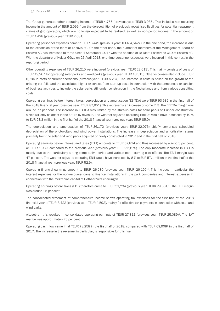The Group generated other operating income of TEUR 4,756 (previous year: TEUR 3,035). This includes non-recurring income in the amount of TEUR 2,096 from the derecognition of previously recognised liabilities for potential repayment claims of grid operators, which are no longer expected to be realised, as well as non-period income in the amount of TEUR 1,428 (previous year: TEUR 2,081).

Operating personnel expenses came to TEUR 6,449 (previous year: TEUR 4,542). On the one hand, the increase is due to the expansion of the team at Encavis AG. On the other hand, the number of members of the Management Board of Encavis AG has increased to three since 1 September 2017 with the addition of Dr Dierk Paskert as CEO of Encavis AG. With the departure of Holger Götze on 26 April 2018, one-time personnel expenses were incurred in this context in the reporting period.

Other operating expenses of TEUR 26,210 were incurred (previous year: TEUR 23,613). This mainly consists of costs of TEUR 19,267 for operating solar parks and wind parks (previous year: TEUR 18,315). Other expenses also include TEUR 6,794 in costs of current operations (previous year: TEUR 5,237). The increase in costs is based on the growth of the existing portfolio and the associated higher expenses from start-up costs in connection with the announced expansion of business activities to include the solar parks still under construction in the Netherlands and from various consulting costs.

Operating earnings before interest, taxes, depreciation and amortisation (EBITDA) were TEUR 93,986 in the first half of the 2018 financial year (previous year: TEUR 87,951). This represents an increase of some 7 %. The EBITDA margin was around 77 per cent. The increase in EBITDA was limited by the start-up costs for solar parks still under construction, which will only be offset in the future by revenue. The weather adjusted operating EBITDA would have increased by 10 % to EUR 93.3 million in the first half of the 2018 financial year (previous year: TEUR 85.0).

The depreciation and amortisation of TEUR 36,172 (previous year: TEUR 32,076) chiefly comprises scheduled depreciation of the photovoltaic and wind power installations. The increase in depreciation and amortisation stems primarily from the solar and wind parks acquired or newly constructed in 2017 and in the first half of 2018.

Operating earnings before interest and taxes (EBIT) amounts to TEUR 57,814 and thus increased by a good 3 per cent, or TEUR 1,939, compared to the previous year (previous year: TEUR 55,875). The only moderate increase in EBIT is mainly due to the particularly strong comparative period and various non-recurring cost effects. The EBIT margin was 47 per cent. The weather adjusted operating EBIT would have increased by 8 % to EUR 57.1 million in the first half of the 2018 financial year (previous year: TEUR 52.9).

Operating financial earnings amount to TEUR -26,580 (previous year: TEUR -26,195) <sup>1</sup>. This includes in particular the interest expenses for the non-recourse loans to finance installations in the park companies and interest expenses in connection with the mezzanine capital of Gothaer Versicherungen.

Operating earnings before taxes (EBT) therefore came to TEUR 31,234 (previous year: TEUR 29,681) <sup>1</sup>. The EBT margin was around 25 per cent.

The consolidated statement of comprehensive income shows operating tax expenses for the first half of the 2018 financial year of TEUR 3,422 (previous year: TEUR 4,592), mainly for effective tax payments in connection with solar and wind parks.

Altogether, this resulted in consolidated operating earnings of TEUR 27,811 (previous year: TEUR 25,089) <sup>1</sup>. The EAT margin was approximately 23 per cent.

Operating cash flow came in at TEUR 78,258 in the first half of 2018, compared with TEUR 69,908<sup>2</sup> in the first half of 2017. The increase in the revenue, in particular, is responsible for this rise.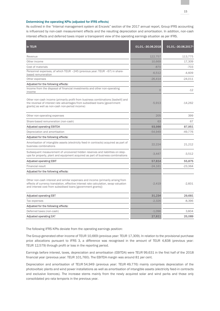### Determining the operating KPIs (adjusted for IFRS effects)

As outlined in the "Internal management system at Encavis" section of the 2017 annual report, Group IFRS accounting is influenced by non-cash measurement effects and the resulting depreciation and amortisation. In addition, non-cash interest effects and deferred taxes impair a transparent view of the operating earnings situation as per IFRS.

| In TEUR                                                                                                                                                                                                                                 | 01.01. - 30.06.2018 | 01.01. - 30.06.20171 |
|-----------------------------------------------------------------------------------------------------------------------------------------------------------------------------------------------------------------------------------------|---------------------|----------------------|
| Revenue                                                                                                                                                                                                                                 | 122.757             | 113.775              |
| Other income                                                                                                                                                                                                                            | 10.669              | 17,309               |
| Cost of materials                                                                                                                                                                                                                       | $-870$              | $-703$               |
| Personnel expenses, of which TEUR -245 (previous year: TEUR -67) in share-<br>based remuneration                                                                                                                                        | $-6.512$            | $-4.609$             |
| Other expenses                                                                                                                                                                                                                          | $-26,414$           | $-24.011$            |
| Adjusted for the following effects:                                                                                                                                                                                                     |                     |                      |
| Income from the disposal of financial investments and other non-operating<br>income                                                                                                                                                     | $\overline{O}$      | $-12$                |
| Other non-cash income (primarily profit from business combinations [badwill] and<br>the reversal of interest rate advantages from subsidised loans [government]<br>grants] as well as non-cash non-period income)                       | $-5.913$            | $-14.262$            |
| Other non-operating expenses                                                                                                                                                                                                            | 205                 | 399                  |
| Share-based remuneration (non-cash)                                                                                                                                                                                                     | 63                  | 67                   |
| <b>Adjusted operating EBITDA</b>                                                                                                                                                                                                        | 93,986              | 87,951               |
| Depreciation and amortisation                                                                                                                                                                                                           | $-54,949$           | $-49.776$            |
| Adjusted for the following effects:                                                                                                                                                                                                     |                     |                      |
| Amortisation of intangible assets (electricity feed-in contracts) acquired as part of<br>business combinations                                                                                                                          | 22,224              | 21,212               |
| Subsequent measurement of uncovered hidden reserves and liabilities on step-<br>ups for property, plant and equipment acquired as part of business combinations                                                                         | $-3.447$            | $-3.512$             |
| <b>Adjusted operating EBIT</b>                                                                                                                                                                                                          | 57,814              | 55,875               |
| <b>Financial result</b>                                                                                                                                                                                                                 | $-24.161$           | $-23.364$            |
| Adjusted for the following effects:                                                                                                                                                                                                     |                     |                      |
| Other non-cash interest and similar expenses and income (primarily arising from<br>effects of currency translation, effective interest rate calculation, swap valuation<br>and interest cost from subsidised loans [government grants]) | $-2.419$            | $-2,831$             |
| <b>Adjusted operating EBT</b>                                                                                                                                                                                                           | 31,234              | 29,681               |
| Tax expenses                                                                                                                                                                                                                            | $-2,326$            | $-8,396$             |
| Adjusted for the following effects:                                                                                                                                                                                                     |                     |                      |
| Deferred taxes (non-cash)                                                                                                                                                                                                               | $-1.096$            | 3.804                |
| <b>Adjusted operating EAT</b>                                                                                                                                                                                                           | 27,811              | 25,089               |

The following IFRS KPIs deviate from the operating earnings position:

The Group generated other income of TEUR 10,669 (previous year: TEUR 17,309). In relation to the provisional purchase price allocations pursuant to IFRS 3, a difference was recognised in the amount of TEUR 4,838 (previous year: TEUR 12,579) through profit or loss in the reporting period.

Earnings before interest, taxes, depreciation and amortisation (EBITDA) were TEUR 99,631 in the first half of the 2018 financial year (previous year: TEUR 101,760). The EBITDA margin was around 81 per cent.

Depreciation and amortisation of TEUR 54,949 (previous year: TEUR 49,776) mainly comprises depreciation of the photovoltaic plants and wind power installations as well as amortisation of intangible assets (electricity feed-in contracts and exclusive licences). The increase stems mainly from the newly acquired solar and wind parks and those only consolidated pro rata temporis in the previous year.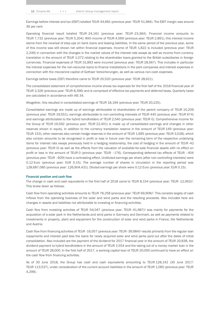Earnings before interest and tax (EBIT) totalled TEUR 44,681 (previous year: TEUR 51,984). The EBIT margin was around 36 per cent.

Operating financial result totalled TEUR -24,161 (previous year: TEUR -23,364). Financial income amounts to TEUR 7,732 (previous year: TEUR 5,204). With income of TEUR 4,569 (previous year: TEUR 2,891), this interest income stems from the reversal of step-ups on bank loans and leasing liabilities. In the same period of the previous year, some of this income was still shown net within financial expenses. Income of TEUR 1,822 is included (previous year: TEUR 2,249) in connection with the changes in the market values of the interest rate swaps as well as income from currency translation in the amount of TEUR 1,072 relating to the shareholder loans granted to the British subsidiaries in foreign currencies. Financial expenses of TEUR 31,893 were incurred (previous year: TEUR 28,567). This includes in particular the interest expenses for the non-recourse loans to finance installations in the park companies and interest expenses in connection with the mezzanine capital of Gothaer Versicherungen, as well as various non-cash expenses.

Earnings before taxes (EBT) therefore came to TEUR 20,520 (previous year: TEUR 28,621).

The consolidated statement of comprehensive income shows tax expenses for the first half of the 2018 financial year of TEUR 2,326 (previous year: TEUR 8,396) and is comprised of effective tax payments and deferred taxes. Quarterly taxes are calculated in accordance with IAS 34.

Altogether, this resulted in consolidated earnings of TEUR 18,194 (previous year: TEUR 20,225).

Consolidated earnings are made up of earnings attributable to shareholders of the parent company of TEUR 15,209 (previous year: TEUR 19,551), earnings attributable to non-controlling interests of TEUR 445 (previous year: TEUR 674) and earnings attributable to the hybrid bondholders of TEUR 2,540 (previous year: TEUR 0). Comprehensive income for the Group of TEUR 19,592 (previous year: TEUR 22,401) is made up of consolidated earnings and changes in other reserves shown in equity. In addition to the currency translation reserve in the amount of TEUR 149 (previous year: TEUR 153), other reserves also contain hedge reserves in the amount of TEUR 1,695 (previous year: TEUR 3,028), which also contain amounts to be recognised in profit or loss in future over the remaining term of the respective underlying items for interest rate swaps previously held in a hedging relationship, the cost of hedging in the amount of TEUR -42 (previous year: TEUR 0) as well as the effects from the valuation of available-for-sale financial assets with no effect on profit or loss in the amount of TEUR 0 (previous year: TEUR –176). Corresponding deferred tax effects of TEUR –404 (previous year: TEUR –829) have a contrasting effect. Undiluted earnings per share (after non-controlling interests) were 0.12 Euro (previous year: EUR 0.15). The average number of shares in circulation in the reporting period was 128,687,085 (previous year: 126,904,431). Diluted earnings per share were 0.12 Euro (previous year: EUR 0.15).

#### Financial position and cash flow

The change in cash and cash equivalents in the first half of 2018 came to TEUR 8,154 (previous year: TEUR -12,063)<sup>2</sup>. This broke down as follows:

Cash flow from operating activities amounts to TEUR 78,258 (previous year: TEUR 69,908) <sup>2</sup>. This consists largely of cash inflows from the operating business of the solar and wind parks and the resulting proceeds. Also included here are changes in assets and liabilities not attributable to investing or financing activities.

Cash flow from investing activities of TEUR -54,047 (previous year: TEUR -41,987) <sup>2</sup> was mainly for payments for the acquisition of a solar park in the Netherlands and wind parks in Germany and Denmark, as well as payments related to investments in property, plant and equipment for the construction of solar and wind parks in France, the Netherlands and Austria.

Cash flow from financing activities of TEUR -16,057 (previous year: TEUR -39,984) <sup>2</sup> results primarily from the regular loan repayments and interest paid less the loans for newly acquired solar and wind parks paid out after the dates of initial consolidation. Also included are the payment of the dividend for 2017 financial year in the amount of TEUR 20,838, the dividend payment to hybrid bondholders in the amount of TEUR 2,554 and the taking out of a money market loan in the amount of TEUR 28,000. In the first half of 2017, a working capital loan of TEUR 20,000 continued to have an effect on the cash flow from financing activities.

As of 30 June 2018, the Group has cash and cash equivalents amounting to TEUR 128,142 (30 June 2017: TEUR 113,537), under consideration of the current account liabilities in the amount of TEUR 1,065 (previous year: TEUR 4,299).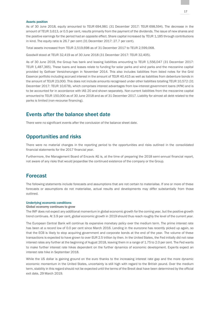### Assets position

As of 30 June 2018, equity amounted to TEUR 694,981 (31 December 2017: TEUR 698,594). The decrease in the amount of TEUR 3,613, or 0.5 per cent, results primarily from the payment of the dividends. The issue of new shares and the positive earnings for the period had an opposite effect. Share capital increased by TEUR 1,185 through contributions in kind. The equity ratio is 26.7 per cent (31 December 2017: 27.7 per cent).

Total assets increased from TEUR 2,519,698 as of 31 December 2017 to TEUR 2,599,068.

Goodwill stood at TEUR 32,419 as of 30 June 2018 (31 December 2017: TEUR 32,405).

As of 30 June 2018, the Group has bank and leasing liabilities amounting to TEUR 1,556,047 (31 December 2017: TEUR 1,487,365). These loans and leases relate to funding for solar parks and wind parks and the mezzanine capital provided by Gothaer Versicherungen in November 2014. This also includes liabilities from listed notes for the Grid Essence portfolio including accrued interest in the amount of TEUR 40,415 as well as liabilities from debenture bonds in the amount of TEUR 23,000. This does not include amounts recognised under other liabilities totalling TEUR 10,572 (31 December 2017: TEUR 10,678), which comprises interest advantages from low-interest government loans (KfW) and is to be accounted for in accordance with IAS 20 and shown separately. Non-current liabilities from the mezzanine capital amounted to TEUR 150,000 as of 30 June 2018 and as of 31 December 2017. Liability for almost all debt related to the parks is limited (non-recourse financing).

### Events after the balance sheet date

There were no significant events after the conclusion of the balance sheet date.

### Opportunities and risks

There were no material changes in the reporting period to the opportunities and risks outlined in the consolidated financial statements for the 2017 financial year.

Furthermore, the Management Board of Encavis AG is, at the time of preparing the 2018 semi-annual financial report, not aware of any risks that would jeopardise the continued existence of the company or the Group.

### Forecast

The following statements include forecasts and assumptions that are not certain to materialise. If one or more of these forecasts or assumptions do not materialise, actual results and developments may differ substantially from those outlined.

### Underlying economic conditions

### Global economy continues to grow

The IMF does not expect any additional momentum in global economic growth for the coming year, but the positive growth trend continues. At 3.9 per cent, global economic growth in 2019 should thus reach roughly the level of the current year.

The European Central Bank will continue its expansive monetary policy over the medium term. The prime interest rate has been at a record low of 0.0 per cent since March 2016. Lending in the eurozone has recently picked up again, so that the ECB is likely to stop acquiring government and corporate bonds at the end of the year. The volume of these transactions is expected to have grown to over EUR 2.5 trillion by then. In the United States, the Fed initially did not raise interest rates any further at the beginning of August 2018, leaving them in a range of 1.75 to 2.0 per cent. The Fed wants to make further interest rate hikes dependent on the further dynamics of economic development. Experts expect an interest rate hike in September 2018.

While the US dollar is gaining ground on the euro thanks to the increasing interest rate gap and the more dynamic economic momentum in the United States, uncertainty is still high with regard to the British pound. Over the medium term, stability in this regard should not be expected until the terms of the Brexit deal have been determined by the official exit date, 29 March 2019.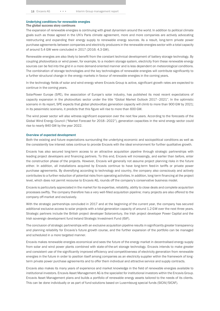### Underlying conditions for renewable energies The global success story continues

The expansion of renewable energies is continuing with great dynamism around the world. In addition to political climate goals such as those agreed in the UN's Paris climate agreement, more and more companies are actively advocating restructuring and expanding their energy supply to renewable energy sources. As a result, long-term private power purchase agreements between companies and electricity producers in the renewable energies sector with a total capacity of around 5.4 GW were concluded in 2017 (2016: 4.3 GW).

Renewable energies are also likely to benefit from the constant technical development of battery storage technology. By coupling photovoltaics or wind power, for example, to a modern storage system, electricity from these renewable energy sources can be fed into the grid in a more demand-oriented manner and is less dependent on meteorological conditions. The combination of storage technologies and the key technologies of renewable energies will contribute significantly to a further structural change in the energy markets in favour of renewable energies in the coming years.

In the technology fields of solar and wind energy where Encavis Group is active, significant growth rates are expected to continue in the coming years.

SolarPower Europe (SPE), the association of Europe's solar industry, has published its most recent expectations of capacity expansion in the photovoltaic sector under the title "Global Market Outlook 2017–2021". In the optimistic scenario in its report, SPE expects that global photovoltaic generation capacity will climb to more than 900 GW by 2021; in its pessimistic scenario, it predicts that this figure will rise to more than 600 GW.

The wind power sector will also witness significant expansion over the next few years. According to the forecasts of the Global Wind Energy Council ("Market Forecast for 2018–2022"), generation capacities in the wind energy sector could rise to nearly 840 GW by the year 2022.

### Overview of expected development

Both the existing and future expectations surrounding the underlying economic and sociopolitical conditions as well as the consistently low interest rates continue to provide Encavis with the ideal environment for further qualitative growth.

Encavis has also secured long-term access to an attractive acquisition pipeline through strategic partnerships with leading project developers and financing partners. To this end, Encavis will increasingly, and earlier than before, enter the construction phase of the projects. However, Encavis will generally not assume project planning risks in the future either. In addition, all installations acquired by Encavis continue to have long-term feed-in tariffs or private power purchase agreements. By diversifying according to technology and country, the company also consciously and actively contributes to a further reduction of potential risks from operating activities. In addition, long-term financing at the project level, which does not permit recourse to Encavis AG, rounds off the company's conservative business model.

Encavis is particularly appreciated in the market for its expertise, reliability, ability to close deals and complete acquisition processes swiftly. The company therefore has a very well-filled acquisition pipeline; many projects are also offered to the company off-market and exclusively.

With the strategic partnerships concluded in 2017 and at the beginning of the current year, the company has secured additional exclusive access to solar projects with a total generation capacity of around 1.2 GW over the next three years. Strategic partners include the British project developer Solarcentury, the Irish project developer Power Capital and the Irish sovereign development fund Ireland Strategic Investment Fund (ISIF).

The conclusion of strategic partnerships with an exclusive acquisition pipeline results in significantly greater transparency and planning reliability for Encavis's future growth course, and the further expansion of the portfolio can be managed and scheduled in a more targeted manner.

Encavis makes renewable energies economical and sees the future of the energy market in decentralised energy supply from solar and wind power plants combined with state-of-the-art storage technology. Encavis intends to make greater and consistent use of the significantly improved efficiency and competitiveness of electricity generation from renewable energies in the future in order to position itself among companies as an electricity supplier within the framework of longterm private power purchase agreements and to offer them individual and attractive service and supply contracts.

Encavis also makes its many years of experience and market knowledge in the field of renewable energies available to institutional investors. Encavis Asset Management AG is the specialist for institutional investors within the Encavis Group. Encavis Asset Management plans and builds a portfolio of renewable energy assets tailored to the needs of its clients. This can be done individually or as part of fund solutions based on Luxembourg special funds (SICAV/SICAF).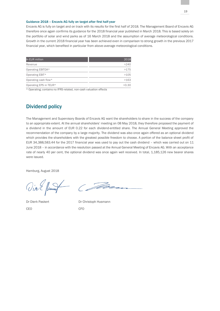### Guidance 2018 – Encavis AG fully on target after first half-year

Encavis AG is fully on target and on track with its results for the first half of 2018. The Management Board of Encavis AG therefore once again confirms its guidance for the 2018 financial year published in March 2018. This is based solely on the portfolio of solar and wind parks as of 16 March 2018 and the assumption of average meteorological conditions. Growth in the current 2018 financial year has been achieved even in comparison to strong growth in the previous 2017 financial year, which benefited in particular from above-average meteorological conditions.

| In EUR million         | 2018  |
|------------------------|-------|
| Revenue                | >240  |
| Operating EBITDA*      | >175  |
| Operating EBIT*        | >105  |
| Operating cash flow*   | >163  |
| Operating EPS in TEUR* | >0.30 |

\* Operating; contains no IFRS-related, non-cash valuation effects

# Dividend policy

The Management and Supervisory Boards of Encavis AG want the shareholders to share in the success of the company to an appropriate extent. At the annual shareholders' meeting on 08 May 2018, they therefore proposed the payment of a dividend in the amount of EUR 0.22 for each dividend-entitled share. The Annual General Meeting approved the recommendation of the company by a large majority. The dividend was also once again offered as an optional dividend which provides the shareholders with the greatest possible freedom to choose. A portion of the balance sheet profit of EUR 34,388,583.44 for the 2017 financial year was used to pay out the cash dividend – which was carried out on 11 June 2018 – in accordance with the resolution passed at the Annual General Meeting of Encavis AG. With an acceptance rate of nearly 40 per cent, the optional dividend was once again well received. In total, 1,185,126 new bearer shares were issued.

Hamburg, August 2018

Vin L flump (Faith

Dr Dierk Paskert Dr Christoph Husmann CEO CFO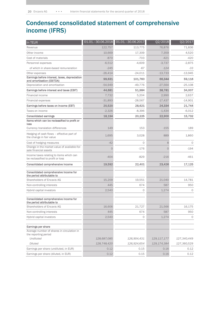# Condensed consolidated statement of comprehensive income (IFRS)

| In TEUR                                                                       | 01.01. - 30.06.2018 | 01.01.-30.06.2017 | Q2/2018       | Q2/2017     |
|-------------------------------------------------------------------------------|---------------------|-------------------|---------------|-------------|
| Revenue                                                                       | 122,757             | 113,775           | 76,876        | 71,836      |
| Other income                                                                  | 10,669              | 17,309            | 7,359         | 4,520       |
| Cost of materials                                                             | $-870$              | $-703$            | $-421$        | -420        |
| Personnel expenses                                                            | $-6,512$            | $-4,609$          | $-3,737$      | $-2,875$    |
| of which in share-based remuneration                                          | $-245$              | $-67$             | $-124$        | $-33$       |
| Other expenses                                                                | $-26,414$           | $-24,011$         | $-13,733$     | $-13,945$   |
| Earnings before interest, taxes, depreciation<br>and amortisation (EBITDA)    | 99,631              | 101,760           | 66,344        | 59,116      |
| Depreciation and amortisation                                                 | $-54,949$           | $-49,776$         | $-27,564$     | $-25,108$   |
| Earnings before interest and taxes (EBIT)                                     | 44,681              | 51,984            | 38,781        | 34,007      |
| Financial income                                                              | 7,732               | 5,204             | 2,990         | 2,637       |
| Financial expenses                                                            | $-31,893$           | $-28,567$         | $-17,437$     | $-14,901$   |
| Earnings before taxes on income (EBT)                                         | 20,520              | 28,621            | 24,334        | 21,744      |
| Taxes on income                                                               | $-2,326$            | $-8,396$          | $-1,434$      | $-6,012$    |
| <b>Consolidated earnings</b>                                                  | 18,194              | 20,225            | 22,900        | 15,732      |
| Items which can be reclassified to profit or<br>loss                          |                     |                   |               |             |
| Currency translation differences                                              | 149                 | 153               | $-155$        | 189         |
| Hedging of cash flows - effective part of<br>the change in fair value         | 1,695               | 3,028             | 889           | 1,860       |
| Cost of hedging measures                                                      | $-42$               | 0                 | 8             | $\circ$     |
| Change in the market value of available-for-<br>sale financial assets         | $\overline{O}$      | $-176$            | $\Omega$      | $-194$      |
| Income taxes relating to items which can<br>be reclassified to profit or loss | $-404$              | $-829$            | $-216$        | -461        |
| Consolidated comprehensive income                                             | 19,592              | 22,401            | 23,426        | 17,125      |
| Consolidated comprehensive income for<br>the period attributable to           |                     |                   |               |             |
| Shareholders of Encavis AG                                                    | 15,209              | 19,551            | 21,040        | 14,781      |
| Non-controlling interests                                                     | 445                 | 674               | 587           | 950         |
| Hybrid capital investors                                                      | 2,540               | 0                 | 1,274         | 0           |
| Consolidated comprehensive income for<br>the period attributable to           |                     |                   |               |             |
| Shareholders of Encavis AG                                                    | 16,606              | 21,727            | 21,566        | 16,175      |
| Non-controlling interests                                                     | 445                 | 674               | 587           | 950         |
| Hybrid capital investors                                                      | 2,540               | 0                 | 1,274         | 0           |
| Earnings per share                                                            |                     |                   |               |             |
| Average number of shares in circulation in<br>the reporting period            |                     |                   |               |             |
| Undiluted                                                                     | 128,687,085         | 126,904,431       | 129, 117, 177 | 127,340,449 |
| Diluted                                                                       | 128,748,420         | 126,924,654       | 129, 174, 384 | 127,360,529 |
| Earnings per share (undiluted, in EUR)                                        | 0.12                | 0.15              | 0.16          | 0.12        |
| Earnings per share (diluted, in EUR)                                          | 0.12                | 0.15              | 0.16          | 0.12        |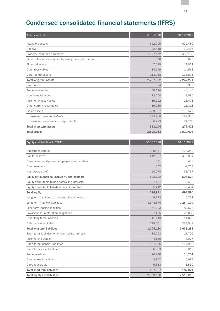# Condensed consolidated financial statements (IFRS)

| Assets in TEUR                                         | 30.06.2018 | 31.12.2017 |
|--------------------------------------------------------|------------|------------|
| Intangible assets                                      | 592,005    | 609,482    |
| Goodwill                                               | 32,419     | 32.405     |
| Property, plant and equipment                          | 1,527,172  | 1,455,168  |
| Financial assets accounted for using the equity method | 690        | 690        |
| <b>Financial assets</b>                                | 7,029      | 11,071     |
| Other receivables                                      | 14,649     | 14,558     |
| Deferred tax assets                                    | 113,958    | 118,896    |
| <b>Total long-term assets</b>                          | 2,287,922  | 2,242,271  |
| Inventories                                            | 324        | 339        |
| Trade receivables                                      | 50,114     | 40,146     |
| Non-financial assets                                   | 12,260     | 8,585      |
| Income tax receivables                                 | 19,222     | 21,471     |
| Other current receivables                              | 19,289     | 11,311     |
| Liquid assets                                          | 209,937    | 195,577    |
| Cash and cash equivalents                              | 129,208    | 124,388    |
| Restricted cash and cash equivalents                   | 80,729     | 71,188     |
| Total short-term assets                                | 311,146    | 277,428    |
| <b>Total assets</b>                                    | 2,599,068  | 2,519,698  |
|                                                        |            |            |
| Equity and liabilities in TEUR                         | 30.06.2018 | 31.12.2017 |
| Subscribed capital                                     | 129,437    | 128,252    |
| Capital reserve                                        | 412,927    | 406,834    |
| Reserve for equity-based employee remuneration         | 521        | 458        |
| Other reserves                                         | $-1,057$   | $-2,753$   |
| Net retained profit                                    | 50,274     | 63,737     |
| Equity attributable to Encavis AG shareholders         | 592,102    | 596,528    |
| Equity attributable to non-controlling interests       | 7,437      | 6,582      |
| Equity attributable to hybrid capital investors        | 95,442     | 95,484     |
| <b>Total equity</b>                                    | 694,981    | 698,594    |
| Long-term liabilities to non-controlling interests     | 5,142      | 2,791      |
| Long-term financial liabilities                        | 1,345,676  | 1,284,199  |
| Long-term leasing liabilities                          | 77,223     | 80,578     |
| Provisions for restoration obligations                 | 37,425     | 26,089     |
| Other long-term liabilities                            | 11,113     | 11,078     |
| Deferred tax liabilities                               | 229,601    | 233,548    |
| <b>Total long-term liabilities</b>                     | 1,706,180  | 1,638,283  |
| Short-term liabilities to non-controlling Interests    | 18,093     | 17,705     |
| Income tax payable                                     | 4,680      | 7,027      |
| Short-term financial liabilities                       | 127,266    | 117,996    |
| Short-term lease liabilities                           | 6,683      | 6,612      |
| Trade payables                                         | 26,946     | 20,261     |
| Other current liabilities                              | 8,857      | 6,689      |
| Current accruals                                       | 5,383      | 6,532      |
| <b>Total short-term liabilities</b>                    | 197,907    | 182,821    |
| <b>Total equity and liabilities</b>                    | 2,599,068  | 2,519,698  |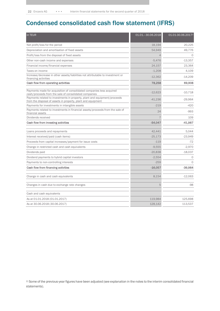# Condensed consolidated cash flow statement (IFRS)

| in TEUR                                                                                                                                   | 01.01.-30.06.2018 | 01.01-30.06.20172 |
|-------------------------------------------------------------------------------------------------------------------------------------------|-------------------|-------------------|
| Net profit/loss for the period                                                                                                            | 18,194            | 20,225            |
| Depreciation and amortisation of fixed assets                                                                                             | 54,949            | 49,776            |
| Profit/loss from the disposal of fixed assets                                                                                             |                   | $\Omega$          |
| Other non-cash income and expenses                                                                                                        | $-5,476$          | $-13,357$         |
| Financial income/financial expenses                                                                                                       | 24.157            | 23,364            |
| Taxes on income                                                                                                                           | $-1,208$          | 4,109             |
| Increase/decrease in other assets/liabilities not attributable to investment or<br>financing activities                                   | $-12,362$         | $-14,209$         |
| Cash flow from operating activities                                                                                                       | 78,258            | 69,908            |
| Payments made for acquisition of consolidated companies less acquired<br>cash/proceeds from the sale of consolidated companies            | $-12,623$         | $-10,718$         |
| Payments related to investments in property, plant and equipment/proceeds<br>from the disposal of assets in property, plant and equipment | $-41,236$         | $-29,964$         |
| Payments for investments in intangible assets                                                                                             | $-219$            | $-420$            |
| Payments related to investments in financial assets/proceeds from the sale of<br>financial assets                                         | 24                | $-993$            |
| Dividends received                                                                                                                        |                   | 109               |
| Cash flow from investing activities                                                                                                       | $-54,047$         | $-41,987$         |
| Loans proceeds and repayments                                                                                                             | 42,441            | 5.044             |
| Interest received/paid (cash items)                                                                                                       | $-25,173$         | $-23,949$         |
| Proceeds from capital increases/payment for issue costs                                                                                   | $-119$            | $-72$             |
| Change in restricted cash and cash equivalents                                                                                            | $-9,555$          | $-2,970$          |
| Dividends paid                                                                                                                            | $-20,838$         | $-18,037$         |
| Dividend payments to hybrid capital investors                                                                                             | $-2,554$          | O                 |
| Payments to non-controlling interests                                                                                                     | $-259$            | $\Omega$          |
| Cash flow from financing activities                                                                                                       | $-16,057$         | $-39,984$         |
| Change in cash and cash equivalents                                                                                                       | 8,154             | $-12,063$         |
| Changes in cash due to exchange rate changes                                                                                              | 5                 | $-98$             |
| Cash and cash equivalents                                                                                                                 |                   |                   |
| As at 01.01.2018 (01.01.2017)                                                                                                             | 119,984           | 125,698           |
| As at 30.06.2018 (30.06.2017)                                                                                                             | 128,142           | 113,537           |

2) Some of the previous-year figures have been adjusted (see explanation in the notes to the interim consolidated financial statements).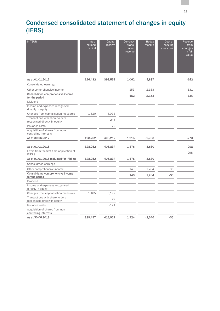# Condensed consolidated statement of changes in equity (IFRS)

| In TEUR                                                         | Sub-<br>scribed<br>capital | Capital<br>reserve | Currency<br>trans-<br>lation<br>reserve | Hedge<br>reserve | Cost of<br>hedging<br>measures | Reserve<br>from<br>changes<br>in fair<br>value |
|-----------------------------------------------------------------|----------------------------|--------------------|-----------------------------------------|------------------|--------------------------------|------------------------------------------------|
| As at 01.01.2017                                                | 126,432                    | 399,559            | 1,062                                   | $-4,887$         |                                | $-142$                                         |
| Consolidated earnings                                           |                            |                    |                                         |                  |                                |                                                |
| Other comprehensive income                                      |                            |                    | 153                                     | 2,153            |                                | $-131$                                         |
| Consolidated comprehensive income<br>for the period             |                            |                    | 153                                     | 2,153            |                                | $-131$                                         |
| Dividend                                                        |                            |                    |                                         |                  |                                |                                                |
| Income and expenses recognised<br>directly in equity            |                            |                    |                                         |                  |                                |                                                |
| Changes from capitalisation measures                            | 1,820                      | 8,973              |                                         |                  |                                |                                                |
| Transactions with shareholders<br>recognised directly in equity |                            | $-248$             |                                         |                  |                                |                                                |
| Issuance costs                                                  |                            | $-72$              |                                         |                  |                                |                                                |
| Acquisition of shares from non-<br>controlling interests        |                            |                    |                                         |                  |                                |                                                |
| As at 30,06,2017                                                | 128,252                    | 408,212            | 1,215                                   | $-2,733$         |                                | $-273$                                         |
| As at 01.01.2018                                                | 128,252                    | 406,834            | 1,176                                   | $-3,630$         |                                | $-298$                                         |
| Effect from the first-time application of<br>IFRS 9             |                            |                    |                                         |                  |                                | 298                                            |
| As of 01.01.2018 (adjusted for IFRS 9)                          | 128,252                    | 406,834            | 1,176                                   | $-3,630$         |                                |                                                |
| Consolidated earnings                                           |                            |                    |                                         |                  |                                |                                                |
| Other comprehensive income                                      |                            |                    | 149                                     | 1,284            | $-35$                          |                                                |
| Consolidated comprehensive income<br>for the period             |                            |                    | 149                                     | 1,284            | $-35$                          |                                                |
| Dividend                                                        |                            |                    |                                         |                  |                                |                                                |
| Income and expenses recognised<br>directly in equity            |                            |                    |                                         |                  |                                |                                                |
| Changes from capitalisation measures                            | 1,185                      | 6,192              |                                         |                  |                                |                                                |
| Transactions with shareholders<br>recognised directly in equity |                            | 22                 |                                         |                  |                                |                                                |
| Issuance costs                                                  |                            | $-121$             |                                         |                  |                                |                                                |
| Acquisition of shares from non-<br>controlling interests        |                            |                    |                                         |                  |                                |                                                |
| As at 30.06.2018                                                | 129,437                    | 412,927            | 1,324                                   | $-2,346$         | $-35$                          |                                                |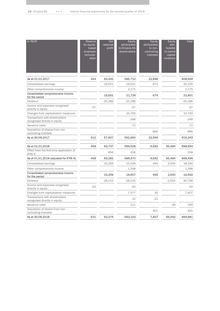| In TEUR                                                         | Reserve<br>for equity-<br>based<br>employee<br>remuner-<br>ation | <b>Net</b><br>retained<br>profit | Equity<br>attributable<br>to Encavis AG<br>shareholders | Equity<br>attributable<br>to non-<br>controlling<br>interests | Equity<br>attri-<br>butable<br>to hybrid<br>capital<br>investors | Total     |
|-----------------------------------------------------------------|------------------------------------------------------------------|----------------------------------|---------------------------------------------------------|---------------------------------------------------------------|------------------------------------------------------------------|-----------|
| As at 01.01.2017                                                | 344                                                              | 63,342                           | 585,710                                                 | 22,846                                                        |                                                                  | 608,556   |
| Consolidated earnings                                           |                                                                  | 19,551                           | 19,551                                                  | 674                                                           |                                                                  | 20,225    |
| Other comprehensive income                                      |                                                                  |                                  | 2,175                                                   |                                                               |                                                                  | 2,175     |
| Consolidated comprehensive income<br>for the period             |                                                                  | 19,551                           | 21,726                                                  | 674                                                           |                                                                  | 22,401    |
| Dividend                                                        |                                                                  | $-25,286$                        | $-25,286$                                               |                                                               |                                                                  | $-25,286$ |
| Income and expenses recognised<br>directly in equity            | 67                                                               |                                  | 67                                                      |                                                               |                                                                  | 67        |
| Changes from capitalisation measures                            |                                                                  |                                  | 10,793                                                  |                                                               |                                                                  | 10,793    |
| Transactions with shareholders<br>recognised directly in equity |                                                                  |                                  | $-248$                                                  |                                                               |                                                                  | $-248$    |
| <b>Issuance costs</b>                                           |                                                                  |                                  | $-72$                                                   |                                                               |                                                                  | $-72$     |
| Acquisition of shares from non-<br>controlling interests        |                                                                  |                                  |                                                         | $-966$                                                        |                                                                  | $-966$    |
| As at 30.06.2017                                                | 410                                                              | 57,607                           | 592,690                                                 | 22,554                                                        |                                                                  | 615,243   |
| As at 01.01.2018                                                | 458                                                              | 63,737                           | 596,528                                                 | 6,582                                                         | 95,484                                                           | 698,594   |
| Effect from the first-time application of<br>IFRS 9             |                                                                  | $-456$                           | $-158$                                                  |                                                               |                                                                  | $-158$    |
| As of 01.01.2018 (adjusted for IFRS 9)                          | 458                                                              | 63,281                           | 596,370                                                 | 6,582                                                         | 95,484                                                           | 698,436   |
| Consolidated earnings                                           |                                                                  | 15,209                           | 15,209                                                  | 445                                                           | 2.540                                                            | 18.194    |
| Other comprehensive income                                      |                                                                  |                                  | 1,398                                                   |                                                               |                                                                  | 1,398     |
| Consolidated comprehensive income<br>for the period             |                                                                  | 15,209                           | 16,607                                                  | 445                                                           | 2,540                                                            | 19,592    |
| Dividend                                                        |                                                                  | $-28,215$                        | $-28,215$                                               |                                                               | $-2,554$                                                         | $-30,769$ |
| Income and expenses recognised<br>directly in equity            | 63                                                               |                                  | 63                                                      |                                                               |                                                                  | 63        |
| Changes from capitalisation measures                            |                                                                  |                                  | 7,377                                                   | 30                                                            |                                                                  | 7,407     |
| Transactions with shareholders<br>recognised directly in equity |                                                                  |                                  | 22                                                      | $-22$                                                         |                                                                  |           |
| Issuance costs                                                  |                                                                  |                                  | $-121$                                                  |                                                               | $-28$                                                            | $-149$    |
| Acquisition of shares from non-<br>controlling interests        |                                                                  |                                  |                                                         | 401                                                           |                                                                  | 401       |
| As at 30,06,2018                                                | 521                                                              | 50,274                           | 592,102                                                 | 7,437                                                         | 95,442                                                           | 694,981   |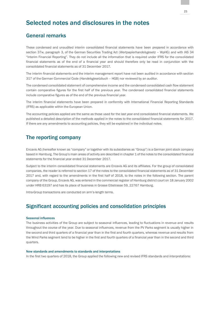# Selected notes and disclosures in the notes

# General remarks

These condensed and unaudited interim consolidated financial statements have been prepared in accordance with section 37w, paragraph 3, of the German Securities Trading Act (*Wertpapierhandelsgesetz* – WpHG) and with IAS 34 "Interim Financial Reporting". They do not include all the information that is required under IFRS for the consolidated financial statements as of the end of a financial year and should therefore only be read in conjunction with the consolidated financial statements as of 31 December 2017.

The interim financial statements and the interim management report have not been audited in accordance with section 317 of the German Commercial Code (*Handelsgesetzbuch* – HGB) nor reviewed by an auditor.

The condensed consolidated statement of comprehensive income and the condensed consolidated cash flow statement contain comparative figures for the first half of the previous year. The condensed consolidated financial statements include comparative figures as of the end of the previous financial year.

The interim financial statements have been prepared in conformity with International Financial Reporting Standards (IFRS) as applicable within the European Union.

The accounting policies applied are the same as those used for the last year-end consolidated financial statements. We published a detailed description of the methods applied in the notes to the consolidated financial statements for 2017. If there are any amendments to accounting policies, they will be explained in the individual notes.

# The reporting company

Encavis AG (hereafter known as "company" or together with its subsidiaries as "Group") is a German joint stock company based in Hamburg. The Group's main areas of activity are described in chapter 1 of the notes to the consolidated financial statements for the financial year ended 31 December 2017.

Subject to the interim consolidated financial statements are Encavis AG and its affiliates. For the group of consolidated companies, the reader is referred to section 17 of the notes to the consolidated financial statements as of 31 December 2017 and, with regard to the amendments in the first half of 2018, to the notes in the following section. The parent company of the Group, Encavis AG, was entered in the commercial register of Hamburg district court on 18 January 2002 under HRB 63197 and has its place of business in Grosse Elbstrasse 59, 22767 Hamburg.

Intra-Group transactions are conducted on arm's-length terms.

### Significant accounting policies and consolidation principles

### Seasonal influences

The business activities of the Group are subject to seasonal influences, leading to fluctuations in revenue and results throughout the course of the year. Due to seasonal influences, revenue from the PV Parks segment is usually higher in the second and third quarters of a financial year than in the first and fourth quarters, whereas revenue and results from the Wind Parks segment tend to be higher in the first and fourth quarters of a financial year than in the second and third quarters.

### New standards and amendments to standards and interpretations

In the first two quarters of 2018, the Group applied the following new and revised IFRS standards and interpretations: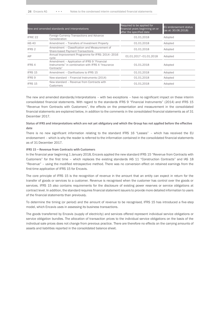| New and amended standards and interpretations |                                                                                                                  | Required to be applied for<br>financial years beginning on or<br>after the specified date | EU endorsement status<br>(as at: 30.06.2018) |
|-----------------------------------------------|------------------------------------------------------------------------------------------------------------------|-------------------------------------------------------------------------------------------|----------------------------------------------|
| IFRIC <sub>22</sub>                           | Foreign Currency Transactions and Advance<br>Consideration                                                       | 01.01.2018                                                                                | Adopted                                      |
| <b>IAS 40</b>                                 | Amendment - Transfers of Investment Property                                                                     | 01.01.2018                                                                                | Adopted                                      |
| IFRS 2                                        | Amendment - Classification and Measurement of<br><b>Share-based Payment Transactions</b>                         | 01.01.2018                                                                                | Adopted                                      |
| AIP                                           | Annual Improvement Programme for IFRS: 2014-2016<br>cvcle                                                        | 01.01.2017-01.01.2018                                                                     | Adopted                                      |
| IFRS 4                                        | Amendment - Application of IFRS 9 "Financial<br>Instruments" in combination with IFRS 4 "Insurance<br>Contracts" | 01.01.2018                                                                                | Adopted                                      |
| IFRS 15                                       | Amendment - Clarifications to IFRS 15                                                                            | 01.01.2018                                                                                | Adopted                                      |
| IFRS 9                                        | New standard - Financial Instruments (2014)                                                                      | 01.01.2018                                                                                | Adopted                                      |
| IFRS 15                                       | New standard - Revenue from Contracts with<br>Customers                                                          | 01.01.2018                                                                                | Adopted                                      |

The new and amended standards/interpretations – with two exceptions – have no significant impact on these interim consolidated financial statements. With regard to the standards IFRS 9 "Financial Instruments" (2014) and IFRS 15 "Revenue from Contracts with Customers", the effects on the presentation and measurement in the consolidated financial statements are explained below, in addition to the comments in the consolidated financial statements as of 31 December 2017.

### **Status of IFRS and interpretations which are not yet obligatory and which the Group has not applied before the effective date**

There is no new significant information relating to the standard IFRS 16 "Leases" – which has received the EU endorsement – which is why the reader is referred to the information contained in the consolidated financial statements as of 31 December 2017.

### **IFRS 15 – Revenue from Contracts with Customers**

In the financial year beginning 1 January 2018, Encavis applied the new standard IFRS 15 "Revenue from Contracts with Customers" for the first time – which replaces the existing standards IAS 11 "Construction Contracts" and IAS 18 "Revenue" – using the modified retrospective method. There was no conversion effect on retained earnings from the first-time application of IFRS 15 for Encavis.

The core principle of IFRS 15 is the recognition of revenue in the amount that an entity can expect in return for the transfer of goods or services to a customer. Revenue is recognised when the customer has control over the goods or services. IFRS 15 also contains requirements for the disclosure of existing power reserves or service obligations at contract level. In addition, the standard requires financial statement issuers to provide more detailed information to users of the financial statements than previously.

To determine the timing (or period) and the amount of revenue to be recognised, IFRS 15 has introduced a five-step model, which Encavis uses in assessing its business transactions.

The goods transferred by Encavis (supply of electricity) and services offered represent individual service obligations or service obligation bundles. The allocation of transaction prices to the individual service obligations on the basis of the individual sale prices does not change from previous practice. There are therefore no effects on the carrying amounts of assets and liabilities reported in the consolidated balance sheet.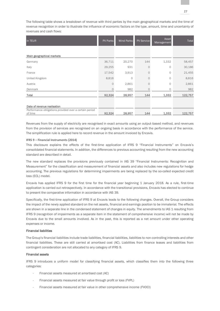The following table shows a breakdown of revenue with third parties by the main geographical markets and the time of revenue recognition in order to illustrate the influence of economic factors on the type, amount, time and uncertainty of revenues and cash flows:

| In TEUR                                                           | <b>PV Parks</b> | Wind Parks | <b>PV Service</b> | Asset<br>Management | <b>Total</b> |
|-------------------------------------------------------------------|-----------------|------------|-------------------|---------------------|--------------|
|                                                                   |                 |            |                   |                     |              |
| Main geographical markets                                         |                 |            |                   |                     |              |
| Germany                                                           | 36,711          | 20,270     | 144               | 1,332               | 58,457       |
| Italy                                                             | 29,255          | 931        | $\Omega$          | 0                   | 30,186       |
| France                                                            | 17,542          | 3,913      |                   | 0                   | 21,455       |
| United Kingdom                                                    | 8,816           | 0          | $\cap$            | 0                   | 8,816        |
| Austria                                                           | $\Omega$        | 2,861      |                   | 0                   | 2,861        |
| Denmark                                                           | 0               | 982        | $\Omega$          | 0                   | 982          |
| Total                                                             | 92,324          | 28,957     | 144               | 1,332               | 122,757      |
|                                                                   |                 |            |                   |                     |              |
| Date of revenue realisation                                       |                 |            |                   |                     |              |
| Performance obligations provided over a certain period<br>of time | 92,324          | 28,957     | 144               | 1,332               | 122,757      |

Revenues from the supply of electricity are recognised in exact amounts using an output-based method, and revenues from the provision of services are recognised on an ongoing basis in accordance with the performance of the service. The simplification rule is applied here to record revenue in the amount invoiced by Encavis.

### **IFRS 9 – Financial Instruments (2014)**

This disclosure explains the effects of the first-time application of IFRS 9 "Financial Instruments" on Encavis's consolidated financial statements. In addition, the differences to previous accounting resulting from the new accounting standard are described in detail.

The new standard replaces the provisions previously contained in IAS 39 "Financial Instruments: Recognition and Measurement" for the classification and measurement of financial assets and also includes new regulations for hedge accounting. The previous regulations for determining impairments are being replaced by the so-called expected credit loss (ECL) model.

Encavis has applied IFRS 9 for the first time for the financial year beginning 1 January 2018. As a rule, first-time application is carried out retrospectively. In accordance with the transitional provisions, Encavis has elected to continue to present the comparative information in accordance with IAS 39.

Specifically, the first-time application of IFRS 9 at Encavis leads to the following changes. Overall, the Group considers the impact of the newly applied standard on the net assets, financial and earnings position to be immaterial. The effects are shown in a separate line in the condensed statement of changes in equity. The amendments to IAS 1 resulting from IFRS 9 (recognition of impairments as a separate item in the statement of comprehensive income) will not be made by Encavis due to the small amounts involved. As in the past, this is reported as a net amount under other operating expenses or income.

### Financial liabilities

The Group's financial liabilities include trade liabilities, financial liabilities, liabilities to non-controlling interests and other financial liabilities. These are still carried at amortised cost (AC). Liabilities from finance leases and liabilities from contingent consideration are not allocated to any category of IFRS 9.

### Financial assets

IFRS 9 introduces a uniform model for classifying financial assets, which classifies them into the following three categories:

- Financial assets measured at amortised cost (AC)
- Financial assets measured at fair value through profit or loss (FVPL)
- Financial assets measured at fair value in other comprehensive income (FVOCI)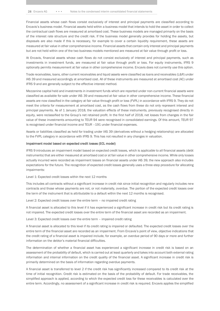Financial assets whose cash flows consist exclusively of interest and principal payments are classified according to Encavis's business model. Financial assets held within a business model that intends to hold the asset in order to collect the contractual cash flows are measured at amortised cost. These business models are managed primarily on the basis of the interest rate structure and the credit risk. If the business model generally provides for holding the assets, but disposals are also made if this is necessary, for example to cover a certain liquidity requirement, these assets are measured at fair value in other comprehensive income. Financial assets that contain only interest and principal payments but are not held within one of the two business models mentioned are measured at fair value through profit or loss.

At Encavis, financial assets whose cash flows do not consist exclusively of interest and principal payments, such as investments in investment funds, are measured at fair value through profit or loss. For equity instruments, IFRS 9 optionally permits measurement at fair value in other comprehensive income. Encavis does not currently use this option.

Trade receivables, loans, other current receivables and liquid assets were classified as loans and receivables (L&R) under IAS 39 and measured accordingly at amortised cost. All of these instruments are measured at amortised cost (AC) under IFRS 9 and are generally subject to the effective interest method.

Mezzanine capital held and investments in investment funds which are reported under non-current financial assets were classified as available for sale under IAS 39 and measured at fair value in other comprehensive income. These financial assets are now classified in the category at fair value through profit or loss (FVPL) in accordance with IFRS 9. They do not meet the criteria for measurement at amortised cost, as the cash flows from these do not only represent interest and principal payments. As of 1 January 2018, the valuation effects of these instruments, previously recognised directly in equity, were reclassified to the Group's net retained profit. In the first half of 2018, net losses from changes in the fair value of these investments amounting to TEUR 94 were recognised in consolidated earnings. Of this amount, TEUR 97 is recognised under financial income and TEUR –191 under financial expenses.

Assets or liabilities classified as held for trading under IAS 39 (derivatives without a hedging relationship) are allocated to the FVPL category in accordance with IFRS 9. This has not resulted in any changes in valuation.

### Impairment model based on expected credit losses (ECL model)

IFRS 9 introduces an impairment model based on expected credit losses, which is applicable to all financial assets (debt instruments) that are either measured at amortised cost or at fair value in other comprehensive income. While only losses actually incurred were recorded as impairment losses on financial assets under IAS 39, the new approach also includes expectations for the future. The recognition of expected credit losses generally uses a three-step procedure for allocating impairments:

### Level 1: Expected credit losses within the next 12 months

This includes all contracts without a significant increase in credit risk since initial recognition and regularly includes new contracts and those whose payments are not, or not materially, overdue. The portion of the expected credit losses over the term of the instrument that is attributable to a default within the next 12 months is recognised.

Level 2: Expected credit losses over the entire term – no impaired credit rating

A financial asset is allocated to this level if it has experienced a significant increase in credit risk but its credit rating is not impaired. The expected credit losses over the entire term of the financial asset are recorded as an impairment.

Level 3: Expected credit losses over the entire term – impaired credit rating

A financial asset is allocated to this level if its credit rating is impaired or defaulted. The expected credit losses over the entire term of the financial asset are recorded as an impairment. From Encavis's point of view, objective indications that the credit rating of a financial asset is impaired include, for example, an overdue period of 90 days or more and further information on the debtor's material financial difficulties.

The determination of whether a financial asset has experienced a significant increase in credit risk is based on an assessment of the probability of default, which is carried out at least quarterly and takes into account both external rating information and internal information on the credit quality of the financial asset. A significant increase in credit risk is primarily determined on the basis of information regarding overdue payments.

A financial asset is transferred to level 2 if the credit risk has significantly increased compared to its credit risk at the time of initial recognition. Credit risk is estimated on the basis of the probability of default. For trade receivables, the simplified approach is applied, according to which the expected credit loss for these receivables is calculated over the entire term. Accordingly, no assessment of a significant increase in credit risk is required. Encavis applies the simplified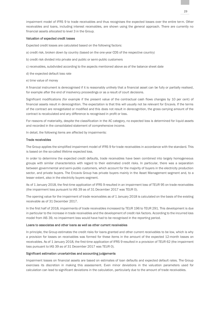impairment model of IFRS 9 to trade receivables and thus recognises the expected losses over the entire term. Other receivables and loans, including interest receivables, are shown using the general approach. There are currently no financial assets allocated to level 3 in the Group.

### Valuation of expected credit losses

Expected credit losses are calculated based on the following factors:

- a) credit risk, broken down by country (based on the one-year CDS of the respective country)
- b) credit risk divided into private and public or semi-public customers
- c) receivables, subdivided according to the aspects mentioned above as of the balance sheet date
- d) the expected default loss rate
- e) time value of money

A financial instrument is derecognised if it is reasonably unlikely that a financial asset can be fully or partially realised, for example after the end of insolvency proceedings or as a result of court decisions.

Significant modifications (for example if the present value of the contractual cash flows changes by 10 per cent) of financial assets result in derecognition. The expectation is that this will usually not be relevant for Encavis. If the terms of the contract are renegotiated or modified and this does not result in derecognition, the gross carrying amount of the contract is recalculated and any difference is recognised in profit or loss.

For reasons of materiality, despite the classification in the AC category, no expected loss is determined for liquid assets and recorded in the consolidated statement of comprehensive income.

In detail, the following items are affected by impairments:

### Trade receivables

The Group applies the simplified impairment model of IFRS 9 for trade receivables in accordance with the standard. This is based on the so-called lifetime expected loss.

In order to determine the expected credit defaults, trade receivables have been combined into largely homogeneous groups with similar characteristics with regard to their estimated credit risks. In particular, there was a separation between governmental and semi-public customers, which account for the majority of buyers in the electricity production sector, and private buyers. The Encavis Group has private buyers mainly in the Asset Management segment and, to a lesser extent, also in the electricity buyers segment.

As of 1 January 2018, the first-time application of IFRS 9 resulted in an impairment loss of TEUR 95 on trade receivables (the impairment loss pursuant to IAS 39 as of 31 December 2017 was TEUR 0).

The opening value for the impairment of trade receivables as of 1 January 2018 is calculated on the basis of the existing receivable as of 31 December 2017.

In the first half of 2018, impairments of trade receivables increased by TEUR 196 to TEUR 291. This development is due in particular to the increase in trade receivables and the development of credit risk factors. According to the incurred loss model from IAS 39, no impairment loss would have had to be recognised in the reporting period.

### Loans to associates and other loans as well as other current receivables

In principle, the Group estimates the credit risks for loans granted and other current receivables to be low, which is why a provision for losses on receivables was formed for these items in the amount of the expected 12-month losses on receivables. As of 1 January 2018, the first-time application of IFRS 9 resulted in a provision of TEUR 62 (the impairment loss pursuant to IAS 39 as of 31 December 2017 was TEUR 0).

### Significant estimation uncertainties and accounting judgements

Impairment losses on financial assets are based on estimates of loan defaults and expected default rates. The Group exercises its discretion in making this assessment. Even minor deviations in the valuation parameters used for calculation can lead to significant deviations in the calculation, particularly due to the amount of trade receivables.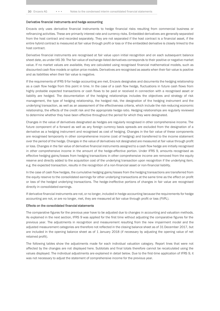### Derivative financial instruments and hedge accounting

Encavis only uses derivative financial instruments to hedge financial risks resulting from commercial business or refinancing activities. These are primarily interest rate and currency risks. Embedded derivatives are generally separated from the host contract and recorded separately. They are not separated if the host contract is a financial asset, if the entire hybrid contract is measured at fair value through profit or loss or if the embedded derivative is closely linked to the host contract.

Derivative financial instruments are recognised at fair value upon initial recognition and on each subsequent balance sheet date, as under IAS 39. The fair value of exchange-listed derivatives corresponds to their positive or negative market value. If no market values are available, they are calculated using recognised financial mathematical models, such as discounted cash flow models or option price models. Derivatives are recognised as assets when their fair value is positive and as liabilities when their fair value is negative.

If the requirements of IFRS 9 for hedge accounting are met, Encavis designates and documents the hedging relationship as a cash flow hedge from this point in time. In the case of a cash flow hedge, fluctuations in future cash flows from highly probable expected transactions or cash flows to be paid or received in connection with a recognised asset or liability are hedged. The documentation of the hedging relationships includes the objectives and strategy of risk management, the type of hedging relationship, the hedged risk, the designation of the hedging instrument and the underlying transaction, as well as an assessment of the effectiveness criteria, which include the risk-reducing economic relationship, the effects of the credit risk and the appropriate hedge ratio. Hedging relationships are regularly reviewed to determine whether they have been effective throughout the period for which they were designated.

Changes in the value of derivatives designated as hedges are regularly recognised in other comprehensive income. The future component of a forward as well as any foreign currency basis spreads are excluded from the designation of a derivative as a hedging instrument and recognised as cost of hedging. Changes in the fair value of these components are recognised temporarily in other comprehensive income (cost of hedging) and transferred to the income statement over the period of the hedge. Changes in the value of derivatives not designated are measured at fair value through profit or loss. Changes in the fair value of derivative financial instruments assigned to a cash flow hedge are initially recognised in other comprehensive income in the amount of the hedge-effective portion. Under IFRS 9, amounts recognised as effective hedging gains/losses from hedging transactions in other comprehensive income are removed from the equity reserve and directly added to the acquisition cost of the underlying transaction upon recognition if the underlying item, e.g. the expected transaction, results in the recognition of a non-financial asset or non-financial liability.

In the case of cash flow hedges, the cumulative hedging gains/losses from the hedging transactions are transferred from the equity reserve to the consolidated earnings for other underlying transactions at the same time as the effect on profit or loss of the hedged underlying transactions. The hedge-ineffective portions of changes in fair value are recognised directly in consolidated earnings.

If derivative financial instruments are not, or no longer, included in hedge accounting because the requirements for hedge accounting are not, or are no longer, met, they are measured at fair value through profit or loss (FVPL).

### Effects on the consolidated financial statements

The comparative figures for the previous year have to be adjusted due to changes in accounting and valuation methods. As explained in the next section, IFRS 9 was applied for the first time without adjusting the comparative figures for the previous year. The adjustments in recognition and measurement resulting from the new impairment model and the adjusted measurement categories are therefore not reflected in the closing balance sheet as of 31 December 2017, but are included in the opening balance sheet as of 1 January 2018 (if necessary by adjusting the opening value of net retained profit).

The following tables show the adjustments made for each individual valuation category. Report lines that were not affected by the changes are not displayed here. Subtotals and final totals therefore cannot be recalculated using the values displayed. The individual adjustments are explained in detail below. Due to the first-time application of IFRS 9, it was not necessary to adjust the statement of comprehensive income for the previous year.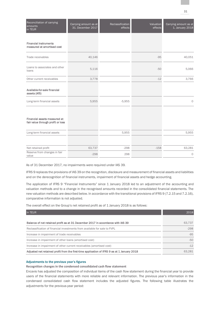| Reconciliation of carrying<br>amounts<br>in TEUR                  | Carrying amount as at<br>31. December 2017 | Reclassification<br>effects | Valuation<br>effects | Carrying amount as at<br>1. January 2018 |
|-------------------------------------------------------------------|--------------------------------------------|-----------------------------|----------------------|------------------------------------------|
| <b>Financial instruments</b><br>measured at amortised cost        |                                            |                             |                      |                                          |
|                                                                   |                                            |                             |                      |                                          |
| Trade receivables                                                 | 40,146                                     |                             | $-95$                | 40,051                                   |
| Loans to associates and other<br>loans                            | 5,116                                      |                             | $-50$                | 5,066                                    |
| Other current receivables                                         | 3,778                                      |                             | $-12$                | 3,766                                    |
| Available-for-sale financial<br>assets (AfS)                      |                                            |                             |                      |                                          |
| Long-term financial assets                                        | 5,955                                      | $-5,955$                    |                      | $\circ$                                  |
| Financial assets measured at<br>fair value through profit or loss |                                            |                             |                      |                                          |
| Long-term financial assets                                        |                                            | 5,955                       |                      | 5,955                                    |
|                                                                   |                                            |                             |                      |                                          |
| Net retained profit                                               | 63,737                                     | $-298$                      | $-158$               | 63,281                                   |
| Reserve from changes in fair<br>value                             | $-298$                                     | 298                         |                      | $\circ$                                  |

As of 31 December 2017, no impairments were required under IAS 39.

IFRS 9 replaces the provisions of IAS 39 on the recognition, disclosure and measurement of financial assets and liabilities and on the derecognition of financial instruments, impairment of financial assets and hedge accounting.

The application of IFRS 9 "Financial Instruments" since 1 January 2018 led to an adjustment of the accounting and valuation methods and to a change in the recognised amounts recorded in the consolidated financial statements. The new valuation methods are described below. In accordance with the transitional provisions of IFRS 9 (7.2.15 and 7.2.16), comparative information is not adjusted.

The overall effect on the Group's net retained profit as of 1 January 2018 is as follows:

| In TEUR                                                                                     | 2018   |
|---------------------------------------------------------------------------------------------|--------|
|                                                                                             |        |
| Balance of net retained profit as at 31 December 2017 in accordance with IAS 39             | 63.737 |
| Reclassification of financial investments from available for sale to FVPL                   | $-298$ |
| Increase in impairment of trade receivables                                                 | $-95$  |
| Increase in impairment of other loans (amortised cost)                                      | $-50$  |
| Increase in impairment of other current receivables (amortised cost)                        | $-12$  |
| Adjusted net retained profit from the first-time application of IFRS 9 as at 1 January 2018 | 63.281 |

### Adjustments to the previous year's figures

**Recognition changes in the condensed consolidated cash flow statement**

Encavis has adjusted the composition of individual items of the cash flow statement during the financial year to provide users of the financial statements with more reliable and relevant information. The previous year's information in the condensed consolidated cash flow statement includes the adjusted figures. The following table illustrates the adjustments for the previous-year period: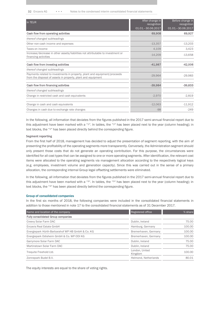32 Encavis AG • • • Notes to the condensed interim consolidated financial statements

| In TEUR                                                                                                                                   | After change in<br>recognition<br>01.01.-30.06.2017 | Before change in<br>recognition<br>01.01.-30.06.2017 |
|-------------------------------------------------------------------------------------------------------------------------------------------|-----------------------------------------------------|------------------------------------------------------|
| Cash flow from operating activities                                                                                                       | 69,908                                              | 69,927                                               |
| thereof changed subheadings                                                                                                               |                                                     |                                                      |
| Other non-cash income and expenses                                                                                                        | $-13,357$                                           | $-13,203$                                            |
| Taxes on income                                                                                                                           | 4,109                                               | 3,423                                                |
| Increase/decrease in other assets/liabilities not attributable to investment or<br>financing activities                                   | $-14,209$                                           | $-13,658$                                            |
| Cash flow from investing activities                                                                                                       | $-41,987$                                           | $-42,006$                                            |
| thereof changed subheadings                                                                                                               |                                                     |                                                      |
| Payments related to investments in property, plant and equipment/proceeds<br>from the disposal of assets in property, plant and equipment | $-29,964$                                           | $-29,983$                                            |
| Cash flow from financing activities                                                                                                       | $-39,984$                                           | $-39,833$                                            |
| thereof changed subheadings                                                                                                               |                                                     |                                                      |
| Change in restricted cash and cash equivalents                                                                                            | $-2,970$                                            | $-2,819$                                             |
| Change in cash and cash equivalents                                                                                                       | $-12,063$                                           | $-11,912$                                            |
| Changes in cash due to exchange rate changes                                                                                              | $-98$                                               | $-249$                                               |

In the following, all information that deviates from the figures published in the 2017 semi-annual financial report due to this adjustment have been marked with a "2". In tables, the "2" has been placed next to the year (column heading); in text blocks, the "2" has been placed directly behind the corresponding figure.

### **Segment reporting**

From the first half of 2018, management has decided to adjust the presentation of segment reporting, with the aim of presenting the profitability of the operating segments more transparently. Conversely, the Administration segment should only present those costs that do not generate an operating contribution. For this purpose, the circumstances were identified for all cost types that can be assigned to one or more operating segments. After identification, the relevant cost items were allocated to the operating segments via management allocation according to the respectively logical keys (e.g. employees, investment volume and generation capacity). Since this was carried out in the sense of a primary allocation, the corresponding internal Group legal offsetting settlements were eliminated.

In the following, all information that deviates from the figures published in the 2017 semi-annual financial report due to this adjustment have been marked with a " $3"$ . In tables, the " $3"$ " has been placed next to the year (column heading); in text blocks, the "3" has been placed directly behind the corresponding figure.

### Group of consolidated companies

In the first six months of 2018, the following companies were included in the consolidated financial statements in addition to those mentioned in note 17 to the consolidated financial statements as of 31 December 2017.

| Name and location of the company                 | Registered office         | % share |
|--------------------------------------------------|---------------------------|---------|
| <b>Fully consolidated Group companies</b>        |                           |         |
| Creevy Solar Farm DAC                            | Dublin, Ireland           | 75.00   |
| Encavis Real Estate GmbH                         | Hamburg, Germany          | 100.00  |
| Energiepark Hürth-Barbarahof WP HB GmbH & Co. KG | Bremerhaven, Germany      | 100.00  |
| Energiepark Odisheim GmbH & Co. WP ODI KG        | Bremerhaven, Germany      | 100.00  |
| Garrymore Solar Farm DAC                         | Dublin, Ireland           | 75.00   |
| Martinstown Solar Farm DAC                       | Dublin, Ireland           | 75.00   |
| Trequite Freehold Ltd.                           | London, United<br>Kingdom | 100.00  |
| Zonnepark Budel B.V.                             | Helmond, Netherlands      | 80.01   |

The equity interests are equal to the share of voting rights.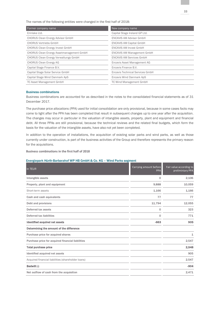The names of the following entities were changed in the first half of 2018:

| Former company name                             | New company name                  |
|-------------------------------------------------|-----------------------------------|
| Erinlake Ltd.                                   | Capital Stage Ireland GP Ltd.     |
| <b>CHORUS Clean Energy Advisor GmbH</b>         | <b>ENCAVIS AM Advisor GmbH</b>    |
| <b>CHORUS Vertriebs GmbH</b>                    | <b>ENCAVIS AM Capital GmbH</b>    |
| <b>CHORUS Clean Energy Invest GmbH</b>          | <b>ENCAVIS AM Invest GmbH</b>     |
| <b>CHORUS Clean Energy Assetmanagement GmbH</b> | <b>ENCAVIS AM Management GmbH</b> |
| <b>CHORUS Clean Energy Verwaltungs GmbH</b>     | <b>ENCAVIS AM Services GmbH</b>   |
| <b>CHORUS Clean Energy AG</b>                   | Encavis Asset Management AG       |
| Capital Stage Finance B.V.                      | Encavis Finance B.V.              |
| Capital Stage Solar Service GmbH                | Encavis Technical Services GmbH   |
| Capital Stage Wind Danmark ApS                  | Encavis Wind Danmark ApS          |
| <b>TC Asset Management GmbH</b>                 | <b>TC Wind Management GmbH</b>    |

### Business combinations

Business combinations are accounted for as described in the notes to the consolidated financial statements as of 31 December 2017.

The purchase price allocations (PPA) used for initial consolidation are only provisional, because in some cases facts may come to light after the PPA has been completed that result in subsequent changes up to one year after the acquisition. The changes may occur in particular in the valuation of intangible assets, property, plant and equipment and financial debt. All three PPAs are still provisional, because the technical reviews and the related final budgets, which form the basis for the valuation of the intangible assets, have also not yet been completed.

In addition to the operation of installations, the acquisition of existing solar parks and wind parks, as well as those currently under construction, is part of the business activities of the Group and therefore represents the primary reason for the acquisitions.

**Business combinations in the first half of 2018**

### Energiepark Hürth-Barbarahof WP HB GmbH & Co. KG – Wind Parks segment

|                                                    | $\Omega$    |        |
|----------------------------------------------------|-------------|--------|
| Intangible assets                                  |             | 2,106  |
| Property, plant and equipment                      | 9,888       | 10,059 |
| Short-term assets                                  | 1,166       | 1,166  |
| Cash and cash equivalents                          | 77          | 77     |
| Debt and provisions                                | 11,794      | 12,055 |
| Deferred tax assets                                | $\mathbf 0$ | 323    |
| Deferred tax liabilities                           | $\Omega$    | 771    |
| <b>Identified acquired net assets</b>              | $-663$      | 905    |
| Determining the amount of the difference           |             |        |
| Purchase price for acquired shares                 |             | 1      |
| Purchase price for acquired financial liabilities  |             | 2,547  |
| <b>Total purchase price</b>                        |             | 2,548  |
| Identified acquired net assets                     |             | 905    |
| Acquired financial liabilities (shareholder loans) |             | 2,547  |
| Badwill (-)                                        |             | $-904$ |
| Net outflow of cash from the acquisition           |             | 2,471  |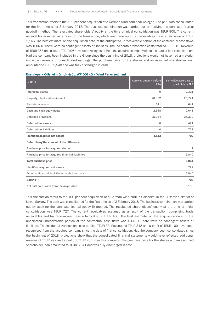34 Encavis AG • • • Notes to the condensed interim consolidated financial statements

This transaction refers to the 100 per cent acquisition of a German wind park near Cologne. The park was consolidated for the first time as of 8 January 2018. The business combination was carried out by applying the purchase (partial goodwill) method. The revaluated shareholders' equity at the time of initial consolidation was TEUR 905. The current receivables assumed as a result of the transaction, which are made up of tax receivables, have a fair value of TEUR 1,166. The best estimate, on the acquisition date, of the anticipated unrecoverable portion of the contractual cash flows was TEUR 0. There were no contingent assets or liabilities. The incidental transaction costs totalled TEUR 16. Revenue of TEUR 358 and a loss of TEUR 96 have been recognised from the acquired company since the date of first consolidation. Had the company been included in the Group since the beginning of 2018, projections would not have had a material impact on revenue or consolidated earnings. The purchase price for the shares and an assumed shareholder loan amounted to TEUR 2,548 and was fully discharged in cash.

### Energiepark Odisheim GmbH & Co. WP ODI KG – Wind Parks segment

| In TEUR                                            | Carrying amount before<br><b>PPA</b> | Fair value according to<br>preliminiary PPA |
|----------------------------------------------------|--------------------------------------|---------------------------------------------|
| Intangible assets                                  | 0                                    | 2,321                                       |
| Property, plant and equipment                      | 20,652                               | 20,721                                      |
| Short-term assets                                  | 641                                  | 641                                         |
| Cash and cash equivalents                          | 2,648                                | 2,648                                       |
| Debt and provisions                                | 25,054                               | 25,302                                      |
| Deferred tax assets                                | 0                                    | 471                                         |
| Deferred tax liabilities                           | 0                                    | 773                                         |
| <b>Identified acquired net assets</b>              | $-1.113$                             | 727                                         |
| Determining the amount of the difference           |                                      |                                             |
| Purchase price for acquired shares                 |                                      | 1                                           |
| Purchase price for acquired financial liabilities  |                                      | 5,840                                       |
| <b>Total purchase price</b>                        |                                      | 5,841                                       |
| Identified acquired net assets                     |                                      | 727                                         |
| Acquired financial liabilities (shareholder loans) |                                      | 5,840                                       |
| Badwill (-)                                        |                                      | $-726$                                      |
| Net outflow of cash from the acquisition           |                                      | 3,193                                       |
|                                                    |                                      |                                             |

This transaction refers to the 100 per cent acquisition of a German wind park in Odisheim, in the Cuxhaven district of Lower Saxony. The park was consolidated for the first time as of 2 February 2018. The business combination was carried out by applying the purchase (partial goodwill) method. The revaluated shareholders' equity at the time of initial consolidation was TEUR 727. The current receivables assumed as a result of the transaction, comprising trade receivables and tax receivables, have a fair value of TEUR 460. The best estimate, on the acquisition date, of the anticipated unrecoverable portion of the contractual cash flows was TEUR 0. There were no contingent assets or liabilities. The incidental transaction costs totalled TEUR 33. Revenue of TEUR 818 and a profit of TEUR 160 have been recognised from the acquired company since the date of first consolidation. Had the company been consolidated since the beginning of 2018, projections show that the consolidated financial statements would have reflected additional revenue of TEUR 992 and a profit of TEUR 205 from this company. The purchase price for the shares and an assumed shareholder loan amounted to TEUR 5,841 and was fully discharged in cash.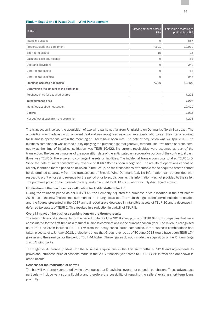| In TEUR                                  | Carrying amount before<br><b>PPA</b> | Fair value according to<br>preliminiary PPA |
|------------------------------------------|--------------------------------------|---------------------------------------------|
| Intangible assets                        | 0                                    | 557                                         |
| Property, plant and equipment            | 7,191                                | 10,930                                      |
| Short-term assets                        | 15                                   | 15                                          |
| Cash and cash equivalents                | 0                                    | 53                                          |
| Debt and provisions                      | 0                                    | 240                                         |
| Deferred tax assets                      | 0                                    | 53                                          |
| Deferred tax liabilities                 | $\circ$                              | 945                                         |
| Identified acquired net assets           | 7,206                                | 10,422                                      |
| Determining the amount of the difference |                                      |                                             |
| Purchase price for acquired shares       |                                      | 7,206                                       |
| Total purchase price                     |                                      | 7,206                                       |
| Identified acquired net assets           |                                      | 10,422                                      |
| <b>Badwill</b>                           |                                      | $-3,216$                                    |
| Net outflow of cash from the acquisition |                                      | 7,206                                       |

The transaction involved the acquisition of two wind parks not far from Ringkøbing on Denmark's North Sea coast. The acquisition was made as part of an asset deal and was recognised as a business combination, as all the criteria required for business operations within the meaning of IFRS 3 have been met. The date of acquisition was 24 April 2018. The business combination was carried out by applying the purchase (partial goodwill) method. The revaluated shareholders' equity at the time of initial consolidation was TEUR 10,422. No current receivables were assumed as part of the transaction. The best estimate as of the acquisition date of the anticipated unrecoverable portion of the contractual cash flows was TEUR 0. There were no contingent assets or liabilities. The incidental transaction costs totalled TEUR 145. Since the date of initial consolidation, revenue of TEUR 105 has been recognised. The results of operations cannot be reliably identified for the period of inclusion in the Group, as the transactions attributable to the acquired assets cannot be determined separately from the transactions of Encavis Wind Danmark ApS. No information can be provided with respect to profit or loss and revenue for the period prior to acquisition, as this information was not provided by the seller. The purchase price for the installations acquired amounted to TEUR 7,206 and was fully discharged in cash.

### Finalisation of the purchase price allocation for Todderstaffe Solar Ltd.

Rindum Enge 1 and 5 (Asset Deal) – Wind Parks segment

During the valuation period as per IFRS 3.45, the Company adjusted the purchase price allocation in the first half of 2018 due to the now finalised measurement of the intangible assets. The main changes to the provisional price allocation and the figures presented in the 2017 annual report are a decrease in intangible assets of TEUR 10 and a decrease in deferred tax assets of TEUR 2. This resulted in a reduction in badwill of TEUR 8.

### Overall impact of the business combinations on the Group's results

The interim financial statements for the period up to 30 June 2018 show profits of TEUR 64 from companies that were consolidated for the first time as a result of business combinations in the current financial year. The revenue recognised as of 30 June 2018 includes TEUR 1,176 from the newly consolidated companies. If the business combinations had taken place as of 1 January 2018, projections show that Group revenue as of 30 June 2018 would have been TEUR 174 greater and the earnings for the period TEUR 44 higher. These figures do not include the acquisition of the Rindum Enge 1 and 5 wind parks.

The negative difference (badwill) for the business acquisitions in the first six months of 2018 and adjustments to provisional purchase price allocations made in the 2017 financial year come to TEUR 4,838 in total and are shown in other income.

### Reasons for the realisation of badwill

The badwill was largely generated by the advantages that Encavis has over other potential purchasers. These advantages particularly include very strong liquidity and therefore the possibility of repaying the sellers' existing short-term loans promptly.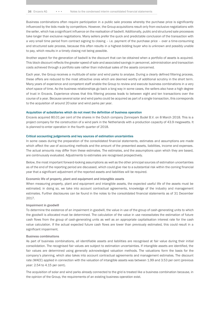Business combinations often require participation in a public sale process whereby the purchase price is significantly influenced by the bids made by competitors. However, the Group acquisitions result only from exclusive negotiations with the seller, which has a significant influence on the realisation of badwill. Additionally, public and structured sale processes take longer than exclusive negotiations. Many sellers prefer the quick and predictable conclusion of the transaction with a very small time period from contract signing to closing – i.e. payment of the purchase price – over a time-consuming and structured sale process, because this often results in a highest-bidding buyer who is unknown and possibly unable to pay, which results in a timely closing not being possible.

Another aspect for the generation of badwill is the discount that can be obtained when a portfolio of assets is acquired. This block discount reflects the greater speed of sale and associated savings in personnel, administration and transaction costs achieved through a portfolio sale rather than individual sales of the assets concerned.

Each year, the Group receives a multitude of solar and wind parks to analyse. During a clearly defined filtering process, these offers are reduced to the most attractive ones which are deemed worthy of additional scrutiny in the short term. Many years of experience and competent staff enable the Group to review and execute business combinations in a very short space of time. As the business relationships go back a long way in some cases, the sellers also have a high degree of trust in Encavis. Experience shows that this filtering process leads to between eight and ten transactions over the course of a year. Because several solar and wind parks could be acquired as part of a single transaction, this corresponds to the acquisition of around 20 solar and wind parks per year.

#### Acquisition of subsidiaries which do not meet the definition of business operation

Encavis acquired 80.01 per cent of the shares in the Dutch company Zonnepark Budel B.V. on 8 March 2018. This is a project company for the construction of a wind park in the Netherlands with a production capacity of 43.9 megawatts. It is planned to enter operation in the fourth quarter of 2018.

### Critical accounting judgements and key sources of estimation uncertainties

In some cases during the preparation of the consolidated financial statements, estimates and assumptions are made which affect the use of accounting methods and the amount of the presented assets, liabilities, income and expenses. The actual amounts may differ from these estimates. The estimates, and the assumptions upon which they are based, are continuously evaluated. Adjustments to estimates are recognised prospectively.

Below, the most important forward-looking assumptions as well as the other principal sources of estimation uncertainties as of the end of the reporting period are discussed, which could give rise to a substantial risk within the coming financial year that a significant adjustment of the reported assets and liabilities will be required.

### Economic life of property, plant and equipment and intangible assets

When measuring property, plant and equipment and intangible assets, the expected useful life of the assets must be estimated; in doing so, we take into account contractual agreements, knowledge of the industry and management estimates. Further disclosures can be found in the notes to the consolidated financial statements as of 31 December 2017.

### Impairment in goodwill

To determine the existence of an impairment in goodwill, the value in use of the group of cash-generating units to which the goodwill is allocated must be determined. The calculation of the value in use necessitates the estimation of future cash flows from the group of cash-generating units as well as an appropriate capitalisation interest rate for the cash value calculation. If the actual expected future cash flows are lower than previously estimated, this could result in a significant impairment.

### Business combinations

As part of business combinations, all identifiable assets and liabilities are recognised at fair value during their initial consolidation. The recognised fair values are subject to estimation uncertainties. If intangible assets are identified, the fair values are determined using generally acknowledged valuation methods. The valuations form the basis for the company's planning, which also takes into account contractual agreements and management estimates. The discount rate (WACC) applied in connection with the valuation of intangible assets was between 1.99 and 3.53 per cent (previous year: 2.54 to 4.15 per cent).

The acquisition of solar and wind parks already connected to the grid is treated like a business combination because, in the opinion of the Group, the requirements of an existing business operation exist.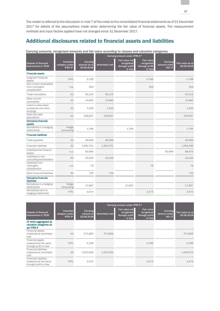The reader is referred to the discussion in note 7 of the notes to the consolidated financial statements as of 31 December 2017 for details of the assumptions made when determining the fair value of financial assets. The measurement methods and input factors applied have not changed since 31 December 2017.

# Additional disclosures related to financial assets and liabilities

| Carrying amounts, recognised amounts and fair value according to classes and valuation categories |                                        |                                        |                               |                                                           |                                                              |                                           |                                |
|---------------------------------------------------------------------------------------------------|----------------------------------------|----------------------------------------|-------------------------------|-----------------------------------------------------------|--------------------------------------------------------------|-------------------------------------------|--------------------------------|
|                                                                                                   |                                        |                                        | Carrying amount under IFRS 9* |                                                           |                                                              |                                           |                                |
| <b>Classes of financial</b><br>instruments in TEUR                                                | Valuation<br>category under<br>IFRS 9* | Carrying<br>amount as at<br>30.06.2018 | <b>Amortised cost</b>         | Fair value not<br>recognised<br>through profit<br>or loss | <b>Fair value</b><br>recognised<br>through profit<br>or loss | Carrying<br>amount under<br><b>IAS 17</b> | Fair value as at<br>30.06.2018 |
| <b>Financial assets</b>                                                                           |                                        |                                        |                               |                                                           |                                                              |                                           |                                |
| Long-term financial<br>assets                                                                     | <b>FVPL</b>                            | 5,796                                  |                               |                                                           | 5,796                                                        |                                           | 5,796                          |
| Non-current receivables<br>from contingent<br>consideration                                       | n.a.                                   | 303                                    |                               |                                                           | 303                                                          |                                           | 303                            |
| Trade receivables                                                                                 | AC                                     | 50,114                                 | 50,114                        |                                                           |                                                              |                                           | 50,114                         |
| Other current<br>receivables                                                                      | AC                                     | 10,580                                 | 10,580                        |                                                           |                                                              |                                           | 10,580                         |
| Loans to associated<br>companies and other<br>lendings                                            | AC                                     | 1,233                                  | 1,233                         |                                                           |                                                              |                                           | 1,233                          |
| Cash and cash<br>equivalents                                                                      | AC                                     | 209,937                                | 209,937                       |                                                           |                                                              |                                           | 209,937                        |
| <b>Derivative financial</b><br>assets                                                             |                                        |                                        |                               |                                                           |                                                              |                                           |                                |
| Derivatives in a hedging<br>relationship                                                          | Hedge<br>Accounting                    | 1,794                                  |                               | 1,794                                                     |                                                              |                                           | 1,794                          |
| <b>Financial liabilities</b>                                                                      |                                        |                                        |                               |                                                           |                                                              |                                           |                                |
| Trade payables                                                                                    | AC                                     | 26,946                                 | 26,946                        |                                                           |                                                              |                                           | 26,946                         |
| <b>Financial liabilities</b>                                                                      | AC                                     | 1,450,701                              | 1,450,701                     |                                                           |                                                              |                                           | 1,594,569                      |
| Liabilities from finance<br>leases                                                                | n.a.                                   | 83,906                                 |                               |                                                           |                                                              | 83,906                                    | 84,976                         |
| Liabilities to non-<br>controlling shareholders                                                   | AC                                     | 23,235                                 | 23,235                        |                                                           |                                                              |                                           | 23,235                         |
| Liabilities from<br>contingent<br>consideration                                                   | n.a.                                   | 79                                     |                               |                                                           | 79                                                           |                                           | 79                             |
| Other financial liabilities                                                                       | AC                                     | 722                                    | 722                           |                                                           |                                                              |                                           | 722                            |
| <b>Derivative financial</b><br>liabilities                                                        |                                        |                                        |                               |                                                           |                                                              |                                           |                                |
| Derivatives in a hedging<br>relationship                                                          | Hedge<br>Accounting                    | 17,967                                 |                               | 17,967                                                    |                                                              |                                           | 17,967                         |
| Derivatives not in a<br>hedging relationship                                                      | <b>FVPL</b>                            | 3,473                                  |                               |                                                           | 3,473                                                        |                                           | 3,473                          |

|                                                                                  |                                                 |                                     | Carrying amount under IFRS 9* |                                                           |                                                              |                                           |                                |
|----------------------------------------------------------------------------------|-------------------------------------------------|-------------------------------------|-------------------------------|-----------------------------------------------------------|--------------------------------------------------------------|-------------------------------------------|--------------------------------|
| <b>Classes of financial</b><br>instruments in TEUR                               | <b>Valuation</b><br>category under<br>IFRS $9*$ | Carrying<br>amount at<br>30.06.2018 | Amortised cost                | Fair value not<br>recognised<br>through profit<br>or loss | <b>Fair value</b><br>recognised<br>through profit<br>or loss | Carrying<br>amount under<br><b>IAS 17</b> | Fair value as at<br>30.06.2018 |
| Of which aggregated by<br>valuation categories as<br>per IFRS 9                  |                                                 |                                     |                               |                                                           |                                                              |                                           |                                |
| Financial assets<br>measured at amortised<br>cost                                | <b>AC</b>                                       | 271,863                             | 271,863                       |                                                           |                                                              |                                           | 271,863                        |
| <b>Financial assets</b><br>measured at fair value<br>through profit or loss      | <b>FVPL</b>                                     | 5,796                               |                               |                                                           | 5,796                                                        |                                           | 5,796                          |
| <b>Financial liabilities</b><br>measured at amortised<br>cost                    | <b>AC</b>                                       | 1,501,603                           | 1,501,603                     |                                                           |                                                              |                                           | 1,645,472                      |
| <b>Financial liabilities</b><br>measured at fair value<br>through profit or loss | <b>FVPL</b>                                     | 3,473                               |                               |                                                           | 3,473                                                        |                                           | 3,473                          |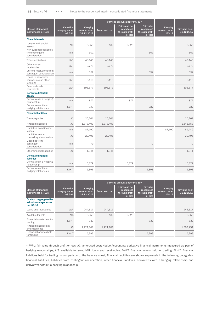38 Encavis AG • • • Notes to the condensed interim consolidated financial statements

|                                                             |                                        |                                        |                       | Carrying amount under IAS 39*                             |                                                              |                                           |                                |
|-------------------------------------------------------------|----------------------------------------|----------------------------------------|-----------------------|-----------------------------------------------------------|--------------------------------------------------------------|-------------------------------------------|--------------------------------|
| <b>Classes of financial</b><br>instruments in TEUR          | Valuation<br>category under<br>IAS 39* | Carrying<br>amount as at<br>31.12.2017 | <b>Amortised cost</b> | Fair value not<br>recognised<br>through profit<br>or loss | <b>Fair value</b><br>recognised<br>through profit<br>or loss | Carrying<br>amount under<br><b>IAS 17</b> | Fair value as at<br>31.12.2017 |
| <b>Financial assets</b>                                     |                                        |                                        |                       |                                                           |                                                              |                                           |                                |
| Long-term financial<br>assets                               | AfS                                    | 5,955                                  | 130                   | 5,825                                                     |                                                              |                                           | 5,955                          |
| Non-current receivables<br>from contingent<br>consideration | n.a.                                   | 301                                    |                       |                                                           | 301                                                          |                                           | 301                            |
| Trade receivables                                           | L&R                                    | 40,146                                 | 40.146                |                                                           |                                                              |                                           | 40.146                         |
| Other current<br>receivables                                | L&R                                    | 3,778                                  | 3,778                 |                                                           |                                                              |                                           | 3,778                          |
| Current receivables from<br>contingent consideration        | n.a.                                   | 552                                    |                       |                                                           | 552                                                          |                                           | 552                            |
| Loans to associated<br>companies and other<br>lendings      | L&R                                    | 5,116                                  | 5,116                 |                                                           |                                                              |                                           | 5.116                          |
| Cash and cash<br>equivalents                                | L&R                                    | 195,577                                | 195,577               |                                                           |                                                              |                                           | 195,577                        |
| <b>Derivative financial</b><br>assets                       |                                        |                                        |                       |                                                           |                                                              |                                           |                                |
| Derivatives in a hedging<br>relationship                    | n.a.                                   | 877                                    |                       | 877                                                       |                                                              |                                           | 877                            |
| Derivatives not in a<br>hedging relationship                | <b>FAHfT</b>                           | 737                                    |                       |                                                           | 737                                                          |                                           | 737                            |
| <b>Financial liabilities</b>                                |                                        |                                        |                       |                                                           |                                                              |                                           |                                |
| Trade payables                                              | <b>AC</b>                              | 20,261                                 | 20,261                |                                                           |                                                              |                                           | 20,261                         |
| <b>Financial liabilities</b>                                | <b>AC</b>                              | 1,378,403                              | 1,378,403             |                                                           |                                                              |                                           | 1,546,753                      |
| Liabilities from finance<br>leases                          | n.a.                                   | 87,190                                 |                       |                                                           |                                                              | 87,190                                    | 89,449                         |
| Liabilities to non-<br>controlling shareholders             | <b>AC</b>                              | 20,496                                 | 20,496                |                                                           |                                                              |                                           | 20,496                         |
| Liabilities from<br>contingent<br>consideration             | n.a.                                   | 79                                     |                       |                                                           | 79                                                           |                                           | 79                             |
| Other financial liabilities                                 | AC                                     | 1,941                                  | 1,941                 |                                                           |                                                              |                                           | 1,941                          |
| <b>Derivative financial</b><br>liabilities                  |                                        |                                        |                       |                                                           |                                                              |                                           |                                |
| Derivatives in a hedging<br>relationship                    | n.a.                                   | 16,379                                 |                       | 16,379                                                    |                                                              |                                           | 16,379                         |
| Derivatives not in a<br>hedging relationship                | <b>FAHfT</b>                           | 5,393                                  |                       |                                                           | 5,393                                                        |                                           | 5,393                          |

|                                                                  |                                               |                                        |                       | Carrying amount under IAS 39*                             |                                                              |                                           |                                |
|------------------------------------------------------------------|-----------------------------------------------|----------------------------------------|-----------------------|-----------------------------------------------------------|--------------------------------------------------------------|-------------------------------------------|--------------------------------|
| <b>Classes of financial</b><br>instruments in TEUR               | <b>Valuation</b><br>category under<br>IAS 39* | Carrying<br>amount as at<br>31.12.2017 | <b>Amortised cost</b> | Fair value not<br>recognised<br>through profit<br>or loss | <b>Fair value</b><br>recognised<br>through profit<br>or loss | Carrying<br>amount under<br><b>IAS 17</b> | Fair value as at<br>31.12.2017 |
| Of which: aggregated by<br>valuation categories as<br>per IAS 39 |                                               |                                        |                       |                                                           |                                                              |                                           |                                |
| Loans and receivables                                            | L&R                                           | 244.617                                | 244.617               |                                                           |                                                              |                                           | 244,617                        |
| Available for sale                                               | AfS                                           | 5.955                                  | 130                   | 5,825                                                     |                                                              |                                           | 5.955                          |
| Financial assets held for<br>trading                             | <b>FAHfT</b>                                  | 737                                    |                       |                                                           | 737                                                          |                                           | 737                            |
| Financial liabilities at<br>amortised cost                       | <b>AC</b>                                     | 1,421,101                              | 1,421,101             |                                                           |                                                              |                                           | 1,589,451                      |
| Financial liabilities held<br>for trading                        | <b>FAHfT</b>                                  | 5.393                                  |                       |                                                           | 5,393                                                        |                                           | 5,393                          |

\* FVPL: fair value through profit or loss; AC: amortised cost; Hedge Accounting: derivative financial instruments measured as part of hedging relationships; AfS: available for sale; L&R: loans and receivables; FAHfT: financial assets held for trading; FLHfT: financial liabilities held for trading. In comparison to the balance sheet, financial liabilities are shown separately in the following categories: financial liabilities, liabilities from contingent consideration, other financial liabilities, derivatives with a hedging relationship and derivatives without a hedging relationship.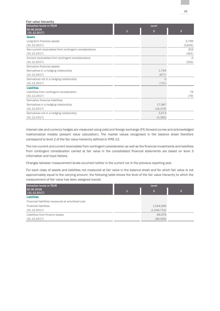| Fair value hierarchy                                   |   |                |         |
|--------------------------------------------------------|---|----------------|---------|
| Valuation levels in TEUR                               |   | Level          |         |
| 30.06.2018                                             | 1 | $\overline{2}$ | 3       |
| (31.12.2017)                                           |   |                |         |
| <b>Assets</b>                                          |   |                |         |
| Long-term financial assets                             |   |                | 5,796   |
| (31.12.2017)                                           |   |                | (5,825) |
| Non-current receivables from contingent considerations |   |                | 303     |
| (31.12.2017)                                           |   |                | (301)   |
| Current receivables from contingent considerations     |   |                | $\circ$ |
| (31.12.2017)                                           |   |                | (552)   |
| Derivative financial assets:                           |   |                |         |
| Derivatives in a hedging relationship                  |   | 1,794          |         |
| (31.12.2017)                                           |   | (877)          |         |
| Derivatives not in a hedging relationship              |   | ∩              |         |
| (31.12.2017)                                           |   | (737)          |         |
| <b>Liabilities</b>                                     |   |                |         |
| Liabilities from contingent consideration              |   |                | 79      |
| (31.12.2017)                                           |   |                | (79)    |
| Derivative financial liabilities:                      |   |                |         |
| Derivatives in a hedging relationship                  |   | 17,967         |         |
| (31.12.2017)                                           |   | (16, 379)      |         |
| Derivatives not in a hedging relationship              |   | 3,473          |         |
| (31.12.2017)                                           |   | (5, 393)       |         |

Interest rate and currency hedges are measured using yield and foreign exchange (FX) forward curves and acknowledged mathematical models (present value calculation). The market values recognised in the balance sheet therefore correspond to level 2 of the fair value hierarchy defined in IFRS 13.

The non-current and current receivables from contingent consideration as well as the financial investments and liabilities from contingent consideration carried at fair value in the consolidated financial statements are based on level 3 information and input factors.

Changes between measurement levels occurred neither in the current nor in the previous reporting year.

For each class of assets and liabilities not measured at fair value in the balance sheet and for which fair value is not approximately equal to the carrying amount, the following table shows the level of the fair value hierarchy to which the measurement of fair value has been assigned overall.

| <b>Valuation levels in TEUR</b>                  | Level |             |   |  |
|--------------------------------------------------|-------|-------------|---|--|
| 30.06.2018<br>(31.12.2017)                       | и.    | 2           | 3 |  |
| <b>Liabilities</b>                               |       |             |   |  |
| Financial liabilities measured at amortised cost |       |             |   |  |
| <b>Financial liabilities</b>                     |       | 1,594,569   |   |  |
| (31.12.2017)                                     |       | (1,546,753) |   |  |
| Liabilities from finance leases                  |       | 84,976      |   |  |
| (31.12.2017)                                     |       | (89, 449)   |   |  |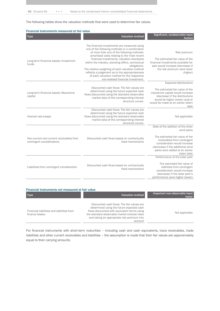The following tables show the valuation methods that were used to determine fair values.

| Financial instruments measured at fair value                          |                                                                                                                                                                                                                                                                                                                                                                                                                                                                                                         |                                                                                                                                                                                                                                          |  |  |  |
|-----------------------------------------------------------------------|---------------------------------------------------------------------------------------------------------------------------------------------------------------------------------------------------------------------------------------------------------------------------------------------------------------------------------------------------------------------------------------------------------------------------------------------------------------------------------------------------------|------------------------------------------------------------------------------------------------------------------------------------------------------------------------------------------------------------------------------------------|--|--|--|
| <b>Type</b>                                                           | <b>Valuation method</b>                                                                                                                                                                                                                                                                                                                                                                                                                                                                                 | Significant, unobservable input<br>factors                                                                                                                                                                                               |  |  |  |
| Long-term financial assets: Investment<br>funds                       | The financial investments are measured using<br>one of the following methods or a combination<br>of more than one of the following methods:<br>amortised costs relating to the most recent<br>financial investments, valuation standards<br>within the industry, standing offers, contractual<br>obligations.<br>The relative weighting of each valuation method<br>reflects a judgement as to the appropriateness<br>of each valuation method for the respective<br>non-realised financial investment. | Risk premium<br>The estimated fair value of the<br>financial investments available for<br>sale would increase (decrease) if<br>the risk premium were lower<br>(higher)                                                                   |  |  |  |
| Long-term financial assets: Mezzanine<br>capital                      | Discounted cash flows: The fair values are<br>determined using the future expected cash<br>flows discounted using the standard observable<br>market data of the corresponding interest<br>structure curves.                                                                                                                                                                                                                                                                                             | <b>Expected distributions</b><br>The estimated fair value of the<br>mezzanine capital would increase<br>(decrease) if the distributions<br>would be higher (lower) and/or<br>would be made at an earlier (later)<br>date                 |  |  |  |
| Interest rate swaps                                                   | Discounted cash flows: The fair values are<br>determined using the future expected cash<br>flows discounted using the standard observable<br>market data of the corresponding interest<br>structure curves.                                                                                                                                                                                                                                                                                             | Not applicable                                                                                                                                                                                                                           |  |  |  |
| Non-current and current receivables from<br>contingent considerations | Discounted cash flows based on contractually<br>fixed mechanisms                                                                                                                                                                                                                                                                                                                                                                                                                                        | Date of the addition of the other<br>wind parks<br>The estimated fair value of the<br>receivables from contingent<br>consideration would increase<br>(decrease) if the additional wind<br>parks were added at an earlier<br>(later) date |  |  |  |
| Liabilities from contingent consideration                             | Discounted cash flows based on contractually<br>fixed mechanisms                                                                                                                                                                                                                                                                                                                                                                                                                                        | Performance of the solar park<br>The estimated fair value of<br>liabilities from contingent<br>consideration would increase<br>(decrease) if the solar park's<br>performance were higher (lower)                                         |  |  |  |

| Financial instruments not measured at fair value             |                                                                                                                                                                                                                                                    |                                          |  |  |  |  |  |
|--------------------------------------------------------------|----------------------------------------------------------------------------------------------------------------------------------------------------------------------------------------------------------------------------------------------------|------------------------------------------|--|--|--|--|--|
| <b>Type</b>                                                  | Valuation method                                                                                                                                                                                                                                   | Important non-observable input<br>factor |  |  |  |  |  |
| Financial liabilities and liabilities from<br>finance leases | Discounted cash flows: The fair values are<br>determined using the future expected cash<br>flows discounted with equivalent terms using<br>the standard observable market interest rates<br>and taking an appropriate risk premium into<br>account | Not applicable                           |  |  |  |  |  |

For financial instruments with short-term maturities – including cash and cash equivalents, trace receivables, trade liabilities and other current receivables and liabilities – the assumption is made that their fair values are approximately equal to their carrying amounts.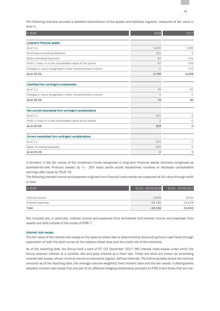The following overview provides a detailed reconciliation of the assets and liabilities regularly measured at fair value in level 3.

| In TEUR                                                      | 2018           | 2017        |
|--------------------------------------------------------------|----------------|-------------|
|                                                              |                |             |
| Long-term financial assets                                   |                |             |
| As of 1.1.                                                   | 5,825          | 7,266       |
| Purchases (including additions)                              | 102            | 5           |
| Sales (including disposals)                                  | $-33$          | $-141$      |
| Profit (-)/loss (+) in the consolidated result of the period | $-97$          | $-706$      |
| Changes in value recognised in other comprehensive income    | $\Omega$       | $-176$      |
| As at 30.06.                                                 | 5,796          | 6,248       |
| Liabilities from contingent consideration                    |                |             |
| As of 1.1.                                                   | 79             | 61          |
| Changes in value recognised in other comprehensive income    | $\Omega$       | $-1$        |
| As at 30.06.                                                 | 79             | 60          |
| Non-current receivables from contingent considerations       |                |             |
| As of 1.1.                                                   | 301            | $\circ$     |
| Profit (-)/loss (+) in the consolidated result of the period | $\overline{2}$ | $\circ$     |
| As at 30.06.                                                 | 303            | $\mathbf 0$ |
| Current receivables from contingent considerations           |                |             |
| As of 1.1.                                                   | 552            | $\circ$     |
| Sales (including disposals)                                  | $-552$         | 0           |
| As at 30.06.                                                 | $\mathbf 0$    | $\mathbf 0$ |

A deviation in the fair values of the investment funds recognised in long-term financial assets (formerly recognised as available-for-sale financial assets) by +/– 200 basis points would respectively increase or decrease consolidated earnings after taxes by TEUR 79.

The following interest income and expenses originate from financial instruments not measured at fair value through profit or loss:

| In TEUR           | 01.01. - 30.06.2018 | 01.01. - 30.06.2017 |
|-------------------|---------------------|---------------------|
|                   |                     |                     |
| Interest income   | 4.630               | 3.034               |
| Interest expenses | $-26.789$           | $-24,678$           |
| Total             | $-22,159$           | $-21,644$           |

Not included are, in particular, interest income and expenses from derivatives and interest income and expenses from assets and debt outside of the scope of IFRS 7.

### Interest rate swaps

The fair value of the interest rate swaps on the balance sheet date is determined by discounting future cash flows through application of both the yield curves on the balance sheet date and the credit risk of the contracts.

As of the reporting date, the Group held a total of 97 (31 December 2017: 88) interest rates swaps under which the Group receives interest at a variable rate and pays interest at a fixed rate. These are what are known as amortising interest rate swaps, whose nominal volume is reduced at regular, defined intervals. The following table shows the nominal amounts as of the reporting date, the average (volume-weighted) fixed interest rates and the fair values. It distinguishes between interest rate swaps that are part of an effective hedging relationship pursuant to IFRS 9 and those that are not.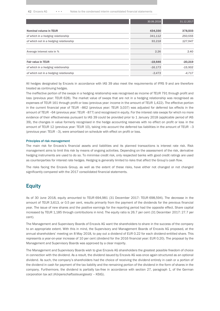|                                        | 30.06.2018 | 31.12.2017 |
|----------------------------------------|------------|------------|
| Nominal volume in TEUR                 | 434,330    | 378,503    |
| of which in a hedging relationship     | 341,112    | 250,555    |
| of which not in a hedging relationship | 93,218     | 127,947    |
|                                        |            |            |
| Average interest rate in %             | 2.26       | 2.40       |
|                                        |            |            |
| <b>Fair value in TEUR</b>              | $-19,646$  | $-20,219$  |
| of which in a hedging relationship     | $-16,173$  | $-15,502$  |
| of which not in a hedging relationship | $-3,473$   | $-4.717$   |

All hedges designated by Encavis in accordance with IAS 39 also meet the requirements of IFRS 9 and are therefore treated as continuing hedges.

The ineffective portion of the swaps in a hedging relationship was recognised as income of TEUR 791 through profit and loss (previous year: TEUR 628). The market value of swaps that are not in a hedging relationship was recognised as expenses of TEUR 161 through profit or loss (previous year: income in the amount of TEUR 1,422). The effective portion in the current financial year of TEUR –862 (previous year: TEUR 3,037) was adjusted for deferred tax effects in the amount of TEUR –64 (previous year: TEUR –877) and recognised in equity. For the interest rate swaps for which no more evidence of their effectiveness pursuant to IAS 39 could be provided prior to 1 January 2018 (applicable period of IAS 39), the changes in value formerly recognised in the hedge accounting reserves with no effect on profit or loss in the amount of TEUR 12 (previous year: TEUR 10), taking into account the deferred tax liabilities in the amount of TEUR –3 (previous year: TEUR –3), were amortised on schedule with effect on profit or loss.

### Principles of risk management

The main risk for Encavis's financial assets and liabilities and its planned transactions is interest rate risk. Risk management aims to limit this risk by means of ongoing activities. Depending on the assessment of the risk, derivative hedging instruments are used to do so. To minimise credit risk, only respected banks with good credit ratings are used as counterparties for interest rate hedges. Hedging is generally limited to risks that affect the Group's cash flow.

The risks facing the Encavis Group, as well as the extent of these risks, have either not changed or not changed significantly compared with the 2017 consolidated financial statements.

### **Equity**

As of 30 June 2018, equity amounted to TEUR 694,981 (31 December 2017: TEUR 698,594). The decrease in the amount of TEUR 3,613, or 0.5 per cent, results primarily from the payment of the dividends for the previous financial year. The issue of new shares and the positive earnings for the reporting period had the opposite effect. Share capital increased by TEUR 1,185 through contributions in kind. The equity ratio is 26.7 per cent (31 December 2017: 27.7 per cent).

The Management and Supervisory Boards of Encavis AG want the shareholders to share in the success of the company to an appropriate extent. With this in mind, the Supervisory and Management Boards of Encavis AG proposed, at the annual shareholders' meeting on 8 May 2018, to pay out a dividend of EUR 0.22 for each dividend-entitled share. This represents a year-on-year increase of 10 per cent (dividend for the 2016 financial year: EUR 0.20). The proposal by the Management and Supervisory Boards was approved by a clear majority.

The Management and Supervisory Boards wish to give Encavis AG shareholders the greatest possible freedom of choice in connection with the dividend. As a result, the dividend issued by Encavis AG was once again structured as an optional dividend. As such, the company's shareholders had the choice of receiving the dividend entirely in cash or a portion of the dividend in cash for payment of the tax liability and the remaining portion of the dividend in the form of shares in the company. Furthermore, the dividend is partially tax-free in accordance with section 27, paragraph 1, of the German corporation tax act (*Körperschaftssteuergesetz* – KStG).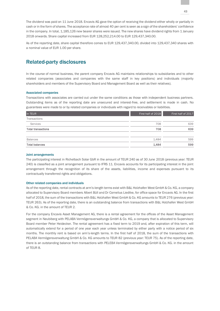The dividend was paid on 11 June 2018. Encavis AG gave the option of receiving the dividend either wholly or partially in cash or in the form of shares. The acceptance rate of almost 40 per cent is seen as a sign of the shareholders' confidence in the company. In total, 1,185,126 new bearer shares were issued. The new shares have dividend rights from 1 January 2018 onwards. Share capital increased from EUR 128,252,214.00 to EUR 129,437,340.00.

As of the reporting date, share capital therefore comes to EUR 129,437,340.00, divided into 129,437,340 shares with a nominal value of EUR 1.00 per share.

# Related-party disclosures

In the course of normal business, the parent company Encavis AG maintains relationships to subsidiaries and to other related companies (associates and companies with the same staff in key positions) and individuals (majority shareholders and members of the Supervisory Board and Management Board as well as their relatives).

### Associated companies

Transactions with associates are carried out under the same conditions as those with independent business partners. Outstanding items as of the reporting date are unsecured and interest-free, and settlement is made in cash. No guarantees were made to or by related companies or individuals with regard to receivables or liabilities.

| In TEUR                   | First half of 2018 | First half of 2017 |
|---------------------------|--------------------|--------------------|
| Transactions              |                    |                    |
| Services                  | 708                | 639                |
| <b>Total transactions</b> | 708                | 639                |
| <b>Balances</b>           | 1,484              | 599                |
| <b>Total balances</b>     | 1,484              | 599                |

### Joint arrangements

The participating interest in Richelbach Solar GbR in the amount of TEUR 240 as of 30 June 2018 (previous year: TEUR 240) is classified as a joint arrangement pursuant to IFRS 11. Encavis accounts for its participating interest in the joint arrangement through the recognition of its share of the assets, liabilities, income and expenses pursuant to its contractually transferred rights and obligations.

### Other related companies and individuals

As of the reporting date, rental contracts at arm's-length terms exist with B&L Holzhafen West GmbH & Co. KG, a company allocated to Supervisory Board members Albert Büll and Dr Cornelius Liedtke, for office space for Encavis AG. In the first half of 2018, the sum of the transactions with B&L Holzhafen West GmbH & Co. KG amounts to TEUR 276 (previous year: TEUR 263). As of the reporting date, there is an outstanding balance from transactions with B&L Holzhafen West GmbH & Co. KG. in the amount of TEUR 2.

For the company Encavis Asset Management AG, there is a rental agreement for the offices of the Asset Management segment in Neubiberg with PELABA Vermögensverwaltungs GmbH & Co. KG, a company that is allocated to Supervisory Board member Peter Heidecker. The rental agreement has a fixed term to 2019 and, after expiration of this term, will automatically extend for a period of one year each year unless terminated by either party with a notice period of six months. The monthly rent is based on arm's-length terms. In the first half of 2018, the sum of the transactions with PELABA Vermögensverwaltung GmbH & Co. KG amounts to TEUR 82 (previous year: TEUR 75). As of the reporting date, there is an outstanding balance from transactions with PELEBA Vermögensverwaltungs GmbH & Co. KG. in the amount of TEUR 8.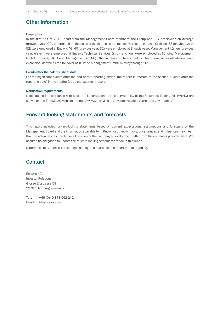# Other information

### **Employees**

In the first half of 2018, apart from the Management Board members, the Group had 117 employees on average (previous year: 92), determined on the basis of the figures on the respective reporting dates. Of these, 63 (previous year: 52) were employed at Encavis AG, 40 (previous year: 32) were employed at Encavis Asset Management AG, ten (previous year: eleven) were employed at Encavis Technical Services GmbH and four were employed at TC Wind Management GmbH (formerly: TC Asset Management GmbH). The increase in headcount is chiefly due to growth-driven team expansion, as well as the takeover of TC Wind Management GmbH midway through 2017.

#### Events after the balance sheet date

For the significant events after the end of the reporting period, the reader is referred to the section "Events after the reporting date" in the interim Group management report.

### Notification requirements

Notifications in accordance with section 21, paragraph 1, or paragraph 1a, of the Securities Trading Act (WpHG) are shown on the Encavis AG website at https://www.encavis.com/investor-relations/corporate-governance/.

### Forward-looking statements and forecasts

This report includes forward-looking statements based on current expectations, assumptions and forecasts by the Management Board and the information available to it. Known or unknown risks, uncertainties and influences may mean that the actual results, the financial position or the company's development differ from the estimates provided here. We assume no obligation to update the forward-looking statements made in this report.

Differences may arise in percentages and figures quoted in this report due to rounding.

### **Contact**

Encavis AG Investor Relations Grosse Elbstrasse 59 22767 Hamburg, Germany

Tel.: +49 (0)40 378 562 242 Email: ir@encavis.com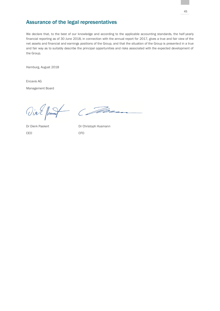# Assurance of the legal representatives

We declare that, to the best of our knowledge and according to the applicable accounting standards, the half-yearly financial reporting as of 30 June 2018, in connection with the annual report for 2017, gives a true and fair view of the net assets and financial and earnings positions of the Group, and that the situation of the Group is presented in a true and fair way as to suitably describe the principal opportunities and risks associated with the expected development of the Group.

Hamburg, August 2018

Encavis AG Management Board

Vin E flumpt Com

CEO CFO

Dr Dierk Paskert Dr Christoph Husmann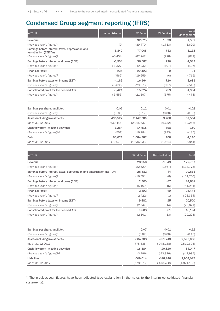# Condensed Group segment reporting (IFRS)

| In TEUR                                                                    | Administration | <b>PV Parks</b> | <b>PV Service</b> | Asset<br>Management |
|----------------------------------------------------------------------------|----------------|-----------------|-------------------|---------------------|
| Revenue                                                                    | $\circ$        | 92,325          | 1,993             | 1,332               |
| (Previous year's figures) <sup>3</sup>                                     | (0)            | (89, 470)       | (1, 713)          | (1,629)             |
| Earnings before interest, taxes, depreciation and<br>amortisation (EBITDA) | $-3,842$       | 77,005          | 743               | $-1,113$            |
| (Previous year's figures) <sup>3</sup>                                     | $(-3, 434)$    | (87, 247)       | (728)             | (621)               |
| Earnings before interest and taxes (EBIT)                                  | $-3,904$       | 36,587          | 720               | $-1,589$            |
| (Previous year's figures) <sup>3</sup>                                     | $(-3, 327)$    | (49, 232)       | (697)             | (197)               |
| <b>Financial result</b>                                                    | $-235$         | $-20,423$       | $\mathbf 0$       | $-91$               |
| (Previous year's figures) <sup>3</sup>                                     | $(-569)$       | $(-19,659)$     | (0)               | $(-712)$            |
| Earnings before taxes on income (EBT)                                      | $-4,139$       | 16,164          | 720               | $-1,681$            |
| (Previous year's figures) $3$                                              | $(-3,896)$     | (29, 573)       | (697)             | $(-515)$            |
| Consolidated profit for the period (EAT)                                   | $-5,421$       | 15,324          | 759               | $-1,954$            |
| (Previous year's figures) <sup>3</sup>                                     | $(-3, 553)$    | (21, 567)       | (575)             | $(-478)$            |
| Earnings per share, undiluted                                              | $-0.06$        | 0.12            | 0.01              | $-0.02$             |
| (Previous year's figures) <sup>3</sup>                                     | $(-0.05)$      | (0.17)          | (0.00)            | (0.00)              |
| Assets including investments                                               | 496,522        | 2.147.680       | 3,786             | 37,534              |
| (as at 31.12.2017)                                                         | (630, 416)     | (2,015,637)     | (6, 732)          | (39, 266)           |
| Cash flow from investing activities                                        | $-3,264$       | $-14,518$       | 898               | $-160$              |
| (Previous year's figures) <sup>2,3</sup>                                   | (551)          | $(-16, 284)$    | (993)             | $(-135)$            |
| <b>Debt</b>                                                                | 95,021         | 1,684,387       | 400               | 4,110               |
| (as at 31.12.2017)                                                         | (70, 679)      | (1,636,933)     | (1, 464)          | (6,844)             |

| In TEUR                                                                 | <b>Wind Parks</b> | Reconciliation | <b>Total</b> |
|-------------------------------------------------------------------------|-------------------|----------------|--------------|
| Revenue                                                                 | 28,956            | $-1,849$       | 122,757      |
| (Previous year's figures) <sup>3</sup>                                  | (22, 529)         | $(-1, 567)$    | (113, 775)   |
| Earnings before interest, taxes, depreciation and amortization (EBITDA) | 26,882            | -44            | 99,631       |
| (Previous year's figures) <sup>3</sup>                                  | (16,591)          | (8)            | (101, 760)   |
| Earnings before interest and taxes (EBIT)                               | 12,905            | $-37$          | 44,681       |
| (Previous year's figures) <sup>3</sup>                                  | (5, 169)          | (15)           | (51, 984)    |
| <b>Financial result</b>                                                 | $-3,423$          | 12             | $-24.161$    |
| (Previous year's figures) <sup>3</sup>                                  | (-2,422)          | $(-1)$         | $(-23, 364)$ |
| Earnings before taxes on income (EBT)                                   | 9,482             | $-25$          | 20,520       |
| (Previous year's figures) <sup>3</sup>                                  | (2,747)           | (14)           | (28, 621)    |
| Consolidated profit for the period (EAT)                                | 9,568             | $-81$          | 18.194       |
| (Previous year's figures) <sup>3</sup>                                  | (2,101)           | (13)           | (20, 225)    |

| Earnings per share, undiluted            | 0.07        | $-0.01$       | 0.12        |
|------------------------------------------|-------------|---------------|-------------|
| (Previous year's figures) <sup>3</sup>   | (0.02)      | (0.00)        | (0.15)      |
| Assets including investments             | 864.788     | $-951.243$    | 2,599,068   |
| (as at 31.12.2017)                       | (775, 835)  | $(-948, 188)$ | (2,519,698) |
| Cash flow from investing activities      | $-16,384$   | $-20,620$     | $-54,047$   |
| (Previous year's figures) <sup>2,3</sup> | $(-3, 796)$ | $(-23,316)$   | $(-41,987)$ |
| <b>Liabilities</b>                       | 609,014     | -488.846      | 1,904,087   |
| (as at 31.12.2017)                       | (578, 973)  | $(-473.788)$  | (1,821,105) |

3) The previous-year figures have been adjusted (see explanation in the notes to the interim consolidated financial statements).